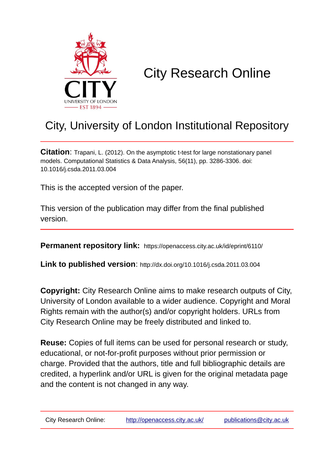

# City Research Online

## City, University of London Institutional Repository

**Citation**: Trapani, L. (2012). On the asymptotic t-test for large nonstationary panel models. Computational Statistics & Data Analysis, 56(11), pp. 3286-3306. doi: 10.1016/j.csda.2011.03.004

This is the accepted version of the paper.

This version of the publication may differ from the final published version.

**Permanent repository link:** https://openaccess.city.ac.uk/id/eprint/6110/

**Link to published version**: http://dx.doi.org/10.1016/j.csda.2011.03.004

**Copyright:** City Research Online aims to make research outputs of City, University of London available to a wider audience. Copyright and Moral Rights remain with the author(s) and/or copyright holders. URLs from City Research Online may be freely distributed and linked to.

**Reuse:** Copies of full items can be used for personal research or study, educational, or not-for-profit purposes without prior permission or charge. Provided that the authors, title and full bibliographic details are credited, a hyperlink and/or URL is given for the original metadata page and the content is not changed in any way.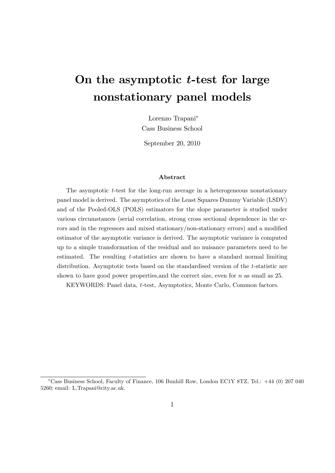## On the asymptotic  $t$ -test for large nonstationary panel models

Lorenzo Trapani Cass Business School

September 20, 2010

#### Abstract

The asymptotic  $t$ -test for the long-run average in a heterogeneous nonstationary panel model is derived. The asymptotics of the Least Squares Dummy Variable (LSDV) and of the Pooled-OLS (POLS) estimators for the slope parameter is studied under various circumstances (serial correlation, strong cross sectional dependence in the errors and in the regressors and mixed stationary/non-stationary errors) and a modified estimator of the asymptotic variance is derived. The asymptotic variance is computed up to a simple transformation of the residual and no nuisance parameters need to be estimated. The resulting t-statistics are shown to have a standard normal limiting distribution. Asymptotic tests based on the standardised version of the t-statistic are shown to have good power properties, and the correct size, even for  $n$  as small as 25.

KEYWORDS: Panel data, t-test, Asymptotics, Monte Carlo, Common factors.

Cass Business School, Faculty of Finance, 106 Bunhill Row, London EC1Y 8TZ, Tel.: +44 (0) 207 040 5260; email: L.Trapani@city.ac.uk.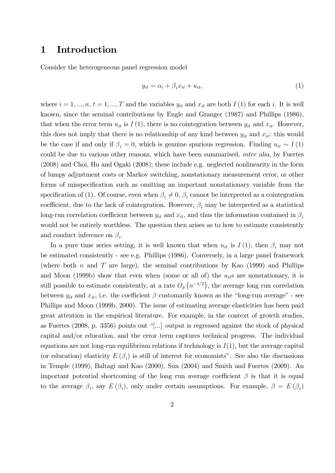### 1 Introduction

Consider the heterogeneous panel regression model

$$
y_{it} = \alpha_i + \beta_i x_{it} + u_{it},\tag{1}
$$

where  $i = 1, ..., n, t = 1, ..., T$  and the variables  $y_{it}$  and  $x_{it}$  are both  $I(1)$  for each i. It is well known, since the seminal contributions by Engle and Granger (1987) and Phillips (1986), that when the error term  $u_{it}$  is  $I(1)$ , there is no cointegration between  $y_{it}$  and  $x_{it}$ . However, this does not imply that there is no relationship of any kind between  $y_{it}$  and  $x_{it}$ : this would be the case if and only if  $\beta_i = 0$ , which is genuine spurious regression. Finding  $u_{it} \sim I(1)$ could be due to various other reasons, which have been summarised, inter alia, by Fuertes (2008) and Choi, Hu and Ogaki (2008); these include e.g. neglected nonlinearity in the form of lumpy adjustment costs or Markov switching, nonstationary measurement error, or other forms of misspecification such as omitting an important nonstationary variable from the specification of (1). Of course, even when  $\beta_i \neq 0$ ,  $\beta_i$  cannot be interpreted as a cointegration coefficient, due to the lack of cointegration. However,  $\beta_i$  may be interpreted as a statistical long-run correlation coefficient between  $y_{it}$  and  $x_{it}$ , and thus the information contained in  $\beta_i$ would not be entirely worthless. The question then arises as to how to estimate consistently and conduct inference on  $\beta_i$ .

In a pure time series setting, it is well known that when  $u_{it}$  is  $I(1)$ , then  $\beta_i$  may not be estimated consistently - see e.g. Phillips (1986). Conversely, in a large panel framework (where both n and T are large), the seminal contributions by Kao  $(1999)$  and Phillips and Moon (1999b) show that even when (some or all of) the  $u_{it}$ s are nonstationary, it is still possible to estimate consistently, at a rate  $O_p(n^{-1/2})$ , the average long run correlation between  $y_{it}$  and  $x_{it}$ , i.e. the coefficient  $\beta$  customarily known as the "long-run average" - see Phillips and Moon (1999b, 2000). The issue of estimating average elasticities has been paid great attention in the empirical literature. For example, in the context of growth studies, as Fuertes (2008, p. 3356) points out "[...] output is regressed against the stock of physical capital and/or education, and the error term captures technical progress. The individual equations are not long-run equilibrium relations if technology is  $I(1)$ , but the average capital (or education) elasticity  $E(\beta_i)$  is still of interest for economists". See also the discussions in Temple (1999), Baltagi and Kao (2000), Sun (2004) and Smith and Fuertes (2009). An important potential shortcoming of the long run average coefficient  $\beta$  is that it is equal to the average  $\beta_i$ , say  $E(\beta_i)$ , only under certain assumptions. For example,  $\beta = E(\beta_i)$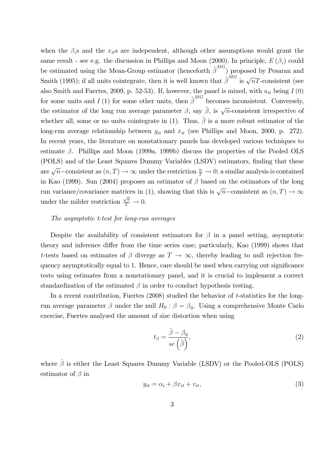when the  $\beta_i$ s and the  $x_{it}$ s are independent, although other assumptions would grant the same result - see e.g. the discussion in Phillips and Moon  $(2000)$ . In principle,  $E(\beta_i)$  could be estimated using the Mean-Group estimator (henceforth  $\hat{\beta}^{MG}$ ) proposed by Pesaran and Smith (1995); if all units cointegrate, then it is well known that  $\hat{\beta}^{MG}$  is  $\sqrt{n}T$ -consistent (see also Smith and Fuertes, 2009, p. 52-53). If, however, the panel is mixed, with  $u_{it}$  being  $I(0)$ for some units and  $I(1)$  for some other units, then  $\hat{\beta}^{MG}$  becomes inconsistent. Conversely, the estimator of the long run average parameter  $\beta$ , say  $\hat{\beta}$ , is  $\sqrt{n}$ -consistent irrespective of whether all, some or no units cointegrate in (1). Thus,  $\hat{\beta}$  is a more robust estimator of the long-run average relationship between  $y_{it}$  and  $x_{it}$  (see Phillips and Moon, 2000, p. 272). In recent years, the literature on nonstationary panels has developed various techniques to estimate  $\beta$ . Phillips and Moon (1999a, 1999b) discuss the properties of the Pooled OLS (POLS) and of the Least Squares Dummy Variables (LSDV) estimators, finding that these are  $\sqrt{n}$  -consistent as  $(n, T) \to \infty$  under the restriction  $\frac{n}{T} \to 0$ ; a similar analysis is contained in Kao (1999). Sun (2004) proposes an estimator of  $\beta$  based on the estimators of the long run variance/covariance matrices in (1), showing that this is  $\sqrt{n}$ -consistent as  $(n, T) \rightarrow \infty$ under the milder restriction  $\frac{\sqrt{n}}{T} \to 0$ .

#### The asymptotic t-test for long-run averages

Despite the availability of consistent estimators for  $\beta$  in a panel setting, asymptotic theory and inference differ from the time series case; particularly, Kao (1999) shows that t-tests based on estimates of  $\beta$  diverge as  $T \to \infty$ , thereby leading to null rejection frequency asymptotically equal to 1. Hence, care should be used when carrying out significance tests using estimates from a nonstationary panel, and it is crucial to implement a correct standardization of the estimated  $\beta$  in order to conduct hypothesis testing.

In a recent contribution, Fuertes (2008) studied the behavior of t-statistics for the longrun average parameter  $\beta$  under the null  $H_0$ :  $\beta = \beta_0$ . Using a comprehensive Monte Carlo exercise, Fuertes analysed the amount of size distortion when using

$$
t_{\beta} = \frac{\hat{\beta} - \beta_0}{se\left(\hat{\beta}\right)},\tag{2}
$$

where  $\hat{\beta}$  is either the Least Squares Dummy Variable (LSDV) or the Pooled-OLS (POLS) estimator of  $\beta$  in

$$
y_{it} = \alpha_i + \beta x_{it} + v_{it},\tag{3}
$$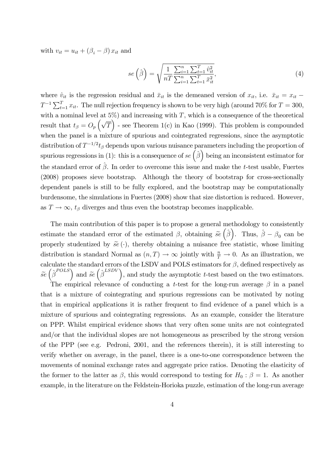with  $v_{it} = u_{it} + (\beta_i - \beta) x_{it}$  and

$$
se\left(\hat{\beta}\right) = \sqrt{\frac{1}{nT} \frac{\sum_{i=1}^{n} \sum_{t=1}^{T} \hat{v}_{it}^2}{\sum_{i=1}^{n} \sum_{t=1}^{T} \bar{x}_{it}^2}},\tag{4}
$$

where  $\hat{v}_{it}$  is the regression residual and  $\bar{x}_{it}$  is the demeaned version of  $x_{it}$ , i.e.  $\bar{x}_{it} = x_{it}$  - $T^{-1} \sum_{t=1}^{T} x_{it}$ . The null rejection frequency is shown to be very high (around 70% for  $T = 300$ , with a nominal level at  $5\%$ ) and increasing with T, which is a consequence of the theoretical result that  $t_{\beta} = O_p\left(\sqrt{T}\right)$  - see Theorem 1(c) in Kao (1999). This problem is compounded when the panel is a mixture of spurious and cointegrated regressions, since the asymptotic distribution of  $T^{-1/2}t_{\beta}$  depends upon various nuisance parameters including the proportion of spurious regressions in (1): this is a consequence of  $se(\hat{\beta})$  being an inconsistent estimator for the standard error of  $\hat{\beta}$ . In order to overcome this issue and make the t-test usable, Fuertes (2008) proposes sieve bootstrap. Although the theory of bootstrap for cross-sectionally dependent panels is still to be fully explored, and the bootstrap may be computationally burdensome, the simulations in Fuertes (2008) show that size distortion is reduced. However, as  $T \to \infty$ ,  $t_\beta$  diverges and thus even the bootstrap becomes inapplicable.

The main contribution of this paper is to propose a general methodology to consistently estimate the standard error of the estimated  $\beta$ , obtaining  $\tilde{se}(\hat{\beta})$ . Thus,  $\hat{\beta} - \beta_0$  can be properly studentized by  $\widetilde{se}(\cdot)$ , thereby obtaining a nuisance free statistic, whose limiting distribution is standard Normal as  $(n, T) \to \infty$  jointly with  $\frac{n}{T} \to 0$ . As an illustration, we calculate the standard errors of the LSDV and POLS estimators for  $\beta$ , defined respectively as  $\tilde{se}(\hat{\beta}^{POLS})$  and  $\tilde{se}(\hat{\beta}^{LSDV})$ , and study the asymptotic t-test based on the two estimators.

The empirical relevance of conducting a t-test for the long-run average  $\beta$  in a panel that is a mixture of cointegrating and spurious regressions can be motivated by noting that in empirical applications it is rather frequent to find evidence of a panel which is a mixture of spurious and cointegrating regressions. As an example, consider the literature on PPP. Whilst empirical evidence shows that very often some units are not cointegrated and/or that the individual slopes are not homogeneous as prescribed by the strong version of the PPP (see e.g. Pedroni, 2001, and the references therein), it is still interesting to verify whether on average, in the panel, there is a one-to-one correspondence between the movements of nominal exchange rates and aggregate price ratios. Denoting the elasticity of the former to the latter as  $\beta$ , this would correspond to testing for  $H_0: \beta = 1$ . As another example, in the literature on the Feldstein-Horioka puzzle, estimation of the long-run average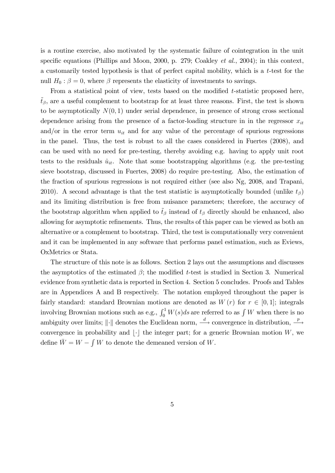is a routine exercise, also motivated by the systematic failure of cointegration in the unit specific equations (Phillips and Moon, 2000, p. 279; Coakley *et al.*, 2004); in this context, a customarily tested hypothesis is that of perfect capital mobility, which is a t-test for the null  $H_0: \beta = 0$ , where  $\beta$  represents the elasticity of investments to savings.

From a statistical point of view, tests based on the modified t-statistic proposed here,  $\tilde{t}_{\beta}$ , are a useful complement to bootstrap for at least three reasons. First, the test is shown to be asymptotically  $N(0, 1)$  under serial dependence, in presence of strong cross sectional dependence arising from the presence of a factor-loading structure in in the regressor  $x_{it}$ and/or in the error term  $u_{it}$  and for any value of the percentage of spurious regressions in the panel. Thus, the test is robust to all the cases considered in Fuertes (2008), and can be used with no need for pre-testing, thereby avoiding e.g. having to apply unit root tests to the residuals  $\hat{u}_{it}$ . Note that some bootstrapping algorithms (e.g. the pre-testing sieve bootstrap, discussed in Fuertes, 2008) do require pre-testing. Also, the estimation of the fraction of spurious regressions is not required either (see also Ng, 2008, and Trapani, 2010). A second advantage is that the test statistic is asymptotically bounded (unlike  $t_{\beta}$ ) and its limiting distribution is free from nuisance parameters; therefore, the accuracy of the bootstrap algorithm when applied to  $\tilde{t}_{\beta}$  instead of  $t_{\beta}$  directly should be enhanced, also allowing for asymptotic refinements. Thus, the results of this paper can be viewed as both an alternative or a complement to bootstrap. Third, the test is computationally very convenient and it can be implemented in any software that performs panel estimation, such as Eviews, OxMetrics or Stata.

The structure of this note is as follows. Section 2 lays out the assumptions and discusses the asymptotics of the estimated  $\beta$ ; the modified t-test is studied in Section 3. Numerical evidence from synthetic data is reported in Section 4. Section 5 concludes. Proofs and Tables are in Appendices A and B respectively. The notation employed throughout the paper is fairly standard: standard Brownian motions are denoted as  $W(r)$  for  $r \in [0, 1]$ ; integrals involving Brownian motions such as e.g.,  $\int_0^1 W(s)ds$  are referred to as  $\int W$  when there is no ambiguity over limits;  $\|\cdot\|$  denotes the Euclidean norm,  $\stackrel{d}{\longrightarrow}$  convergence in distribution,  $\stackrel{p}{\longrightarrow}$ convergence in probability and  $\lvert \cdot \rvert$  the integer part; for a generic Brownian motion W, we define  $\overline{W} = W - \int W$  to denote the demeaned version of W.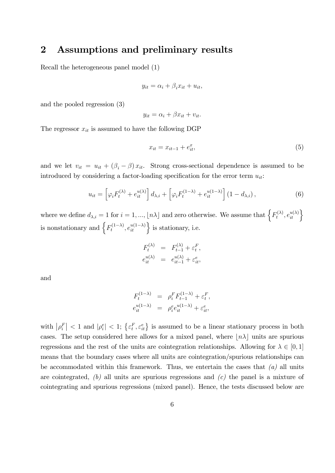### 2 Assumptions and preliminary results

Recall the heterogeneous panel model (1)

$$
y_{it} = \alpha_i + \beta_i x_{it} + u_{it},
$$

and the pooled regression (3)

$$
y_{it} = \alpha_i + \beta x_{it} + v_{it}.
$$

The regressor  $x_{it}$  is assumed to have the following DGP

$$
x_{it} = x_{it-1} + e_{it}^x,\t\t(5)
$$

and we let  $v_{it} = u_{it} + (\beta_i - \beta) x_{it}$ . Strong cross-sectional dependence is assumed to be introduced by considering a factor-loading specification for the error term  $u_{it}$ :

$$
u_{it} = \left[\varphi_i F_t^{(\lambda)} + e_{it}^{u(\lambda)}\right] d_{\lambda,i} + \left[\varphi_i F_t^{(1-\lambda)} + e_{it}^{u(1-\lambda)}\right] \left(1 - d_{\lambda,i}\right),\tag{6}
$$

where we define  $d_{\lambda,i} = 1$  for  $i = 1, ..., \lfloor n\lambda \rfloor$  and zero otherwise. We assume that  $\left\{F_t^{(\lambda)}\right\}$  $\left\{ \begin{matrix} \lambda \\ t \end{matrix} \right\}$ ,  $e_{it}^{u(\lambda)}$ is nonstationary and  $\left\{ F_t^{(1-\lambda)}, e_{it}^{u(1-\lambda)} \right\}$  is stationary, i.e.

$$
F_t^{(\lambda)} = F_{t-1}^{(\lambda)} + \varepsilon_t^F,
$$
  

$$
e_{it}^{u(\lambda)} = e_{it-1}^{u(\lambda)} + \varepsilon_{it}^e,
$$

and

$$
F_t^{(1-\lambda)} = \rho_i^F F_{t-1}^{(1-\lambda)} + \varepsilon_t^F,
$$
  

$$
e_{it}^{u(1-\lambda)} = \rho_i^e e_{it}^{u(1-\lambda)} + \varepsilon_{it}^e,
$$

with  $|\rho_i^F|$  < 1 and  $|\rho_i^e|$  < 1;  $\{\varepsilon_t^F, \varepsilon_{it}^e\}$  is assumed to be a linear stationary process in both cases. The setup considered here allows for a mixed panel, where  $\vert n\lambda \vert$  units are spurious regressions and the rest of the units are cointegration relationships. Allowing for  $\lambda \in [0, 1]$ means that the boundary cases where all units are cointegration/spurious relationships can be accommodated within this framework. Thus, we entertain the cases that  $(a)$  all units are cointegrated,  $(b)$  all units are spurious regressions and  $(c)$  the panel is a mixture of cointegrating and spurious regressions (mixed panel). Hence, the tests discussed below are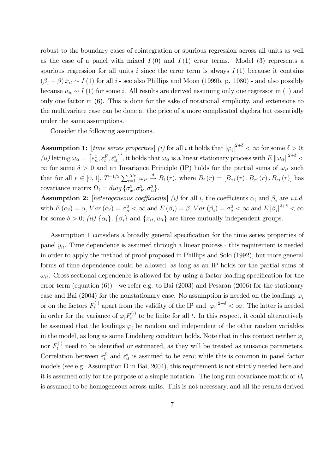robust to the boundary cases of cointegration or spurious regression across all units as well as the case of a panel with mixed  $I(0)$  and  $I(1)$  error terms. Model (3) represents a spurious regression for all units i since the error term is always  $I(1)$  because it contains  $(\beta_i - \beta) \bar{x}_{it} \sim I(1)$  for all i - see also Phillips and Moon (1999b, p. 1080) - and also possibly because  $u_{it} \sim I(1)$  for some i. All results are derived assuming only one regressor in (1) and only one factor in (6). This is done for the sake of notational simplicity, and extensions to the multivariate case can be done at the price of a more complicated algebra but essentially under the same assumptions.

Consider the following assumptions.

**Assumption 1:** [time series properties] (i) for all i it holds that  $|\varphi_i|^{2+\delta} < \infty$  for some  $\delta > 0$ ; (ii) letting  $\omega_{it} = \left[e_{it}^x, \varepsilon_t^F, \varepsilon_{it}^e\right]'$ , it holds that  $\omega_{it}$  is a linear stationary process with  $E \|\omega_{it}\|^{2+\delta}$  $\infty$  for some  $\delta > 0$  and an Invariance Principle (IP) holds for the partial sums of  $\omega_{it}$  such that for all  $r \in [0, 1]$ ,  $T^{-1/2} \sum_{t=1}^{\lfloor Tr \rfloor} \omega_{it} \stackrel{d}{\to} B_i(r)$ , where  $B_i(r) = [B_{xi}(r), B_{ei}(r), B_{ei}(r)]$  has covariance matrix  $\Omega_i = diag\{\sigma_x^2, \sigma_F^2, \sigma_u^2\}.$ 

**Assumption 2:** [heterogeneous coefficients] (i) for all i, the coefficients  $\alpha_i$  and  $\beta_i$  are i.i.d. with  $E(\alpha_i) = \alpha$ ,  $Var(\alpha_i) = \sigma_{\alpha}^2 < \infty$  and  $E(\beta_i) = \beta$ ,  $Var(\beta_i) = \sigma_{\beta}^2 < \infty$  and  $E|\beta_i|^{2+\delta} < \infty$ for some  $\delta > 0$ ; (ii)  $\{\alpha_i\}$ ,  $\{\beta_i\}$  and  $\{x_{it}, u_{it}\}$  are three mutually independent groups.

Assumption 1 considers a broadly general specification for the time series properties of panel  $y_{it}$ . Time dependence is assumed through a linear process - this requirement is needed in order to apply the method of proof proposed in Phillips and Solo (1992), but more general forms of time dependence could be allowed, as long as an IP holds for the partial sums of  $\omega_{it}$ . Cross sectional dependence is allowed for by using a factor-loading specification for the error term (equation (6)) - we refer e.g. to Bai (2003) and Pesaran (2006) for the stationary case and Bai (2004) for the nonstationary case. No assumption is needed on the loadings  $\varphi_i$ or on the factors  $F_t^{(\cdot)}$  apart from the validity of the IP and  $|\varphi_i|^{2+\delta} < \infty$ . The latter is needed in order for the variance of  $\varphi_i F_t^{(\cdot)}$  to be finite for all t. In this respect, it could alternatively be assumed that the loadings  $\varphi_i$  be random and independent of the other random variables in the model, as long as some Lindeberg condition holds. Note that in this context neither  $\varphi_i$ nor  $F_t^{(\cdot)}$  need to be identified or estimated, as they will be treated as nuisance parameters. Correlation between  $\varepsilon_t^F$  and  $\varepsilon_{it}^e$  is assumed to be zero; while this is common in panel factor models (see e.g. Assumption D in Bai, 2004), this requirement is not strictly needed here and it is assumed only for the purpose of a simple notation. The long run covariance matrix of  $B_i$ is assumed to be homogeneous across units. This is not necessary, and all the results derived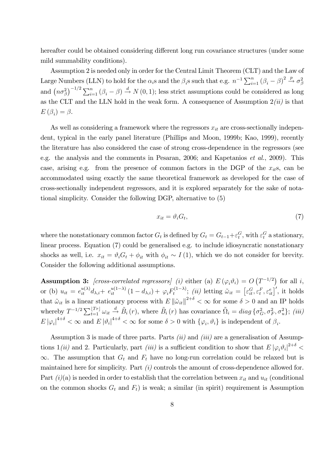hereafter could be obtained considering different long run covariance structures (under some mild summability conditions).

Assumption 2 is needed only in order for the Central Limit Theorem (CLT) and the Law of Large Numbers (LLN) to hold for the  $\alpha_i$ s and the  $\beta_i$ s such that e.g.  $n^{-1} \sum_{i=1}^n (\beta_i - \beta)^2 \stackrel{p}{\rightarrow} \sigma_{\beta}^2$ and  $(n\sigma_{\beta}^2)^{-1/2} \sum_{i=1}^n (\beta_i - \beta) \stackrel{d}{\rightarrow} N(0, 1)$ ; less strict assumptions could be considered as long as the CLT and the LLN hold in the weak form. A consequence of Assumption  $2(ii)$  is that  $E(\beta_i) = \beta.$ 

As well as considering a framework where the regressors  $x_{it}$  are cross-sectionally independent, typical in the early panel literature (Phillips and Moon, 1999b; Kao, 1999), recently the literature has also considered the case of strong cross-dependence in the regressors (see e.g. the analysis and the comments in Pesaran, 2006; and Kapetanios et al., 2009). This case, arising e.g. from the presence of common factors in the DGP of the  $x_{it}$ s, can be accommodated using exactly the same theoretical framework as developed for the case of cross-sectionally independent regressors, and it is explored separately for the sake of notational simplicity. Consider the following DGP, alternative to (5)

$$
x_{it} = \vartheta_i G_t,\tag{7}
$$

where the nonstationary common factor  $G_t$  is defined by  $G_t = G_{t-1} + \varepsilon_t^G$ , with  $\varepsilon_t^G$  a stationary, linear process. Equation (7) could be generalised e.g. to include idiosyncratic nonstationary shocks as well, i.e.  $x_{it} = \vartheta_i G_t + \phi_{it}$  with  $\phi_{it} \sim I(1)$ , which we do not consider for brevity. Consider the following additional assumptions.

**Assumption 3:** [cross-correlated regressors] (i) either (a)  $E(\varphi_i \vartheta_i) = O(T^{-1/2})$  for all i, or (b)  $u_{it} = e_{it}^{u(\lambda)} d_{\lambda,i} + e_{it}^{u(1-\lambda)} (1 - d_{\lambda,i}) + \varphi_i F_t^{(1-\lambda)}$ ; *(ii)* letting  $\tilde{\omega}_{it} = \left[ \varepsilon_{it}^G, \varepsilon_t^F, \varepsilon_{it}^e \right]'$ , it holds that  $\tilde{\omega}_{it}$  is a linear stationary process with  $E \|\tilde{\omega}_{it}\|^{2+\delta} < \infty$  for some  $\delta > 0$  and an IP holds whereby  $T^{-1/2} \sum_{t=1}^{[Tr]} \omega_{it} \stackrel{d}{\rightarrow} \tilde{B}_i(r)$ , where  $\tilde{B}_i(r)$  has covariance  $\tilde{\Omega}_i = diag\{\sigma_G^2, \sigma_F^2, \sigma_u^2\};$  (iii)  $E |\varphi_i|^{4+\delta} < \infty$  and  $E |\vartheta_i|^{4+\delta} < \infty$  for some  $\delta > 0$  with  $\{\varphi_i, \vartheta_i\}$  is independent of  $\beta_i$ .

Assumption 3 is made of three parts. Parts  $(ii)$  and  $(iii)$  are a generalisation of Assumptions 1(ii) and 2. Particularly, part (iii) is a sufficient condition to show that  $E |\varphi_i \vartheta_i|^{2+\delta}$  $\infty$ . The assumption that  $G_t$  and  $F_t$  have no long-run correlation could be relaxed but is maintained here for simplicity. Part  $(i)$  controls the amount of cross-dependence allowed for. Part  $(i)(a)$  is needed in order to establish that the correlation between  $x_{it}$  and  $u_{it}$  (conditional on the common shocks  $G_t$  and  $F_t$ ) is weak; a similar (in spirit) requirement is Assumption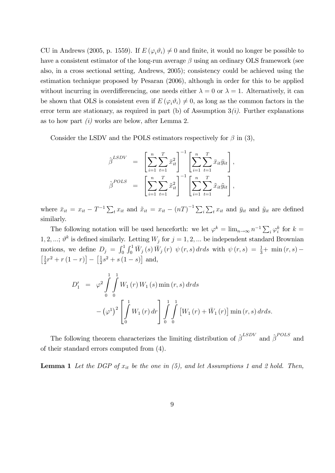CU in Andrews (2005, p. 1559). If  $E(\varphi_i \vartheta_i) \neq 0$  and finite, it would no longer be possible to have a consistent estimator of the long-run average  $\beta$  using an ordinary OLS framework (see also, in a cross sectional setting, Andrews, 2005); consistency could be achieved using the estimation technique proposed by Pesaran (2006), although in order for this to be applied without incurring in overdifferencing, one needs either  $\lambda = 0$  or  $\lambda = 1$ . Alternatively, it can be shown that OLS is consistent even if  $E(\varphi_i\vartheta_i) \neq 0$ , as long as the common factors in the error term are stationary, as required in part (b) of Assumption  $3(i)$ . Further explanations as to how part  $(i)$  works are below, after Lemma 2.

Consider the LSDV and the POLS estimators respectively for  $\beta$  in (3),

$$
\hat{\beta}^{LSDV} = \left[ \sum_{i=1}^{n} \sum_{t=1}^{T} \bar{x}_{it}^{2} \right]^{-1} \left[ \sum_{i=1}^{n} \sum_{t=1}^{T} \bar{x}_{it} \bar{y}_{it} \right],
$$
  

$$
\hat{\beta}^{POLS} = \left[ \sum_{i=1}^{n} \sum_{t=1}^{T} \tilde{x}_{it}^{2} \right]^{-1} \left[ \sum_{i=1}^{n} \sum_{t=1}^{T} \tilde{x}_{it} \tilde{y}_{it} \right],
$$

where  $\bar{x}_{it} = x_{it} - T^{-1} \sum_t x_{it}$  and  $\tilde{x}_{it} = x_{it} - (nT)^{-1} \sum_i \sum_t x_{it}$  and  $\bar{y}_{it}$  and  $\tilde{y}_{it}$  are defined similarly.

The following notation will be used henceforth: we let  $\varphi^k = \lim_{n \to \infty} n^{-1} \sum_i \varphi_i^k$  for  $k =$ 1, 2, ...;  $\vartheta^k$  is defined similarly. Letting  $W_j$  for  $j = 1, 2, ...$  be independent standard Brownian motions, we define  $D_j = \int_0^1 \int_0^1 \overline{W}_j(s) \,\overline{W}_j(r) \, \psi(r, s) \, dr ds$  with  $\psi(r, s) = \frac{1}{3} + \min(r, s) \frac{1}{2}$  $\frac{1}{2}r^2 + r(1-r)$   $\left[\frac{1}{2}\right]$  $\frac{1}{2}s^2 + s(1-s)$  and,

$$
D'_{1} = \varphi^{2} \int_{0}^{1} \int_{0}^{1} W_{1}(r) W_{1}(s) \min(r, s) dr ds
$$
  
 
$$
- (\varphi^{1})^{2} \left[ \int_{0}^{1} W_{1}(r) dr \right] \int_{0}^{1} \int_{0}^{1} [W_{1}(r) + \bar{W}_{1}(r)] \min(r, s) dr ds.
$$

The following theorem characterizes the limiting distribution of  $\hat{\beta}^{LSDV}$  and  $\hat{\beta}^{POLS}$  and of their standard errors computed from (4).

**Lemma 1** Let the DGP of  $x_{it}$  be the one in (5), and let Assumptions 1 and 2 hold. Then,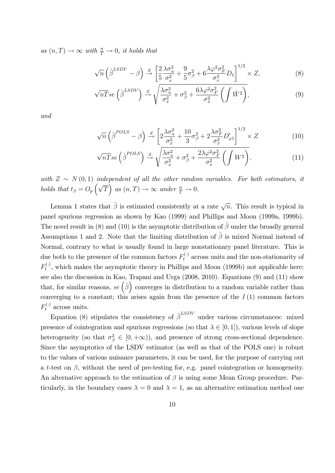as  $(n, T) \rightarrow \infty$  with  $\frac{n}{T} \rightarrow 0$ , it holds that

$$
\sqrt{n}\left(\hat{\boldsymbol{\beta}}^{LSDV} - \boldsymbol{\beta}\right) \stackrel{d}{\rightarrow} \left[\frac{2}{5}\frac{\lambda\sigma_u^2}{\sigma_x^2} + \frac{9}{5}\sigma_{\boldsymbol{\beta}}^2 + 6\frac{\lambda\varphi^2\sigma_F^2}{\sigma_x^2}D_1\right]^{1/2} \times Z,\tag{8}
$$

$$
\sqrt{nT}se\left(\hat{\beta}^{LSDV}\right) \stackrel{d}{\rightarrow} \sqrt{\frac{\lambda \sigma_u^2}{\sigma_x^2} + \sigma_\beta^2 + \frac{6\lambda \varphi^2 \sigma_F^2}{\sigma_x^2} \left(\int \bar{W}^2\right)},\tag{9}
$$

and

$$
\sqrt{n}\left(\hat{\boldsymbol{\beta}}^{POLS} - \boldsymbol{\beta}\right) \stackrel{d}{\rightarrow} \left[2\frac{\lambda\sigma_u^2}{\sigma_x^2} + \frac{10}{3}\sigma_{\boldsymbol{\beta}}^2 + 2\frac{\lambda\sigma_F^2}{\sigma_x^2}D_{\varphi1}'\right]^{1/2} \times Z\tag{10}
$$

$$
\sqrt{nT}se\left(\hat{\beta}^{POLS}\right) \xrightarrow{d} \sqrt{\frac{\lambda \sigma_u^2}{\sigma_x^2} + \sigma_\beta^2 + \frac{2\lambda \varphi^2 \sigma_F^2}{\sigma_x^2} \left(\int W^2\right)},\tag{11}
$$

with  $Z \sim N(0, 1)$  independent of all the other random variables. For both estimators, it holds that  $t_{\beta} = O_p\left(\sqrt{T}\right)$  as  $(n,T) \to \infty$  under  $\frac{n}{T} \to 0$ .

Lemma 1 states that  $\hat{\beta}$  is estimated consistently at a rate  $\sqrt{n}$ . This result is typical in panel spurious regression as shown by Kao (1999) and Phillips and Moon (1999a, 1999b). The novel result in (8) and (10) is the asymptotic distribution of  $\hat{\beta}$  under the broadly general Assumptions 1 and 2. Note that the limiting distribution of  $\hat{\beta}$  is mixed Normal instead of Normal, contrary to what is usually found in large nonstationary panel literature. This is due both to the presence of the common factors  $F_t^{(\cdot)}$  across units and the non-stationarity of  $F_t^{(\cdot)}$ , which makes the asymptotic theory in Phillips and Moon (1999b) not applicable here; see also the discussion in Kao, Trapani and Urga (2008, 2010). Equations (9) and (11) show that, for similar reasons, se  $(\hat{\beta})$  converges in distribution to a random variable rather than converging to a constant; this arises again from the presence of the  $I(1)$  common factors  $F_t^{(\cdot)}$  across units.

Equation (8) stipulates the consistency of  $\hat{\beta}^{LSDV}$  under various circumstances: mixed presence of cointegration and spurious regressions (so that  $\lambda \in [0, 1]$ ), various levels of slope heterogeneity (so that  $\sigma_{\beta}^2 \in [0, +\infty)$ ), and presence of strong cross-sectional dependence. Since the asymptotics of the LSDV estimator (as well as that of the POLS one) is robust to the values of various nuisance parameters, it can be used, for the purpose of carrying out a t-test on  $\beta$ , without the need of pre-testing for, e.g. panel cointegration or homogeneity. An alternative approach to the estimation of  $\beta$  is using some Mean Group procedure. Particularly, in the boundary cases  $\lambda = 0$  and  $\lambda = 1$ , as an alternative estimation method one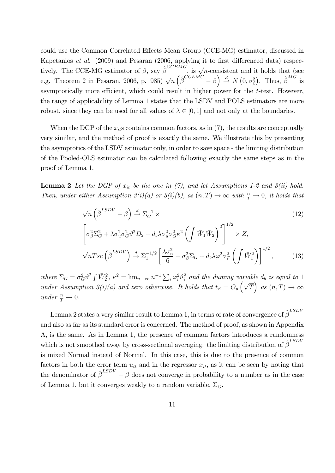could use the Common Correlated Effects Mean Group (CCE-MG) estimator, discussed in Kapetanios *et al.* (2009) and Pesaran (2006, applying it to first differenced data) respectively. The CCE-MG estimator of  $\beta$ , say  $\hat{\beta}^{CCEMG}$ , is  $\sqrt{n}$ -consistent and it holds that (see e.g. Theorem 2 in Pesaran, 2006, p. 985)  $\sqrt{n} \left( \hat{\beta}^{CCEM\tilde{G}} - \beta \right) \stackrel{d}{\rightarrow} N(0, \sigma_{\beta}^2)$ . Thus,  $\hat{\beta}^{M\tilde{G}}$  is asymptotically more efficient, which could result in higher power for the  $t$ -test. However, the range of applicability of Lemma 1 states that the LSDV and POLS estimators are more robust, since they can be used for all values of  $\lambda \in [0, 1]$  and not only at the boundaries.

When the DGP of the  $x_{it}$ s contains common factors, as in (7), the results are conceptually very similar, and the method of proof is exactly the same. We illustrate this by presenting the asymptotics of the LSDV estimator only, in order to save space - the limiting distribution of the Pooled-OLS estimator can be calculated following exactly the same steps as in the proof of Lemma 1.

**Lemma 2** Let the DGP of  $x_{it}$  be the one in (7), and let Assumptions 1-2 and 3(ii) hold. Then, under either Assumption 3(i)(a) or 3(i)(b), as  $(n,T) \to \infty$  with  $\frac{n}{T} \to 0$ , it holds that

$$
\sqrt{n}\left(\hat{\beta}^{LSDV} - \beta\right) \stackrel{d}{\rightarrow} \Sigma_G^{-1} \times
$$
\n
$$
\left[\sigma_{\beta}^2 \Sigma_G^2 + \lambda \sigma_u^2 \sigma_G^2 \vartheta^2 D_2 + d_b \lambda \sigma_u^2 \sigma_G^2 \kappa^2 \left(\int \bar{W}_1 \bar{W}_2\right)^2\right]^{1/2} \times Z,
$$
\n
$$
\sqrt{n} \bar{T} s e \left(\hat{\beta}^{LSDV}\right) \stackrel{d}{\rightarrow} \Sigma_1^{-1/2} \left[\frac{\lambda \sigma_u^2}{6} + \sigma_{\beta}^2 \Sigma_G + d_b \lambda \varphi^2 \sigma_F^2 \left(\int \bar{W}_1^2\right)\right]^{1/2},
$$
\n(13)

where  $\Sigma_G = \sigma_G^2 \vartheta^2 \int \bar{W}_2^2$ ,  $\kappa^2 = \lim_{n \to \infty} n^{-1} \sum_i \varphi_i^2 \vartheta_i^2$  and the dummy variable  $d_b$  is equal to 1 under Assumption  $3(i)(a)$  and zero otherwise. It holds that  $t_{\beta} = O_p\left(\sqrt{T}\right)$  as  $(n,T) \to \infty$ under  $\frac{n}{T} \to 0$ .

Lemma 2 states a very similar result to Lemma 1, in terms of rate of convergence of  $\hat{\boldsymbol{\beta}}^{LSDV}$ and also as far as its standard error is concerned. The method of proof, as shown in Appendix A, is the same. As in Lemma 1, the presence of common factors introduces a randomness which is not smoothed away by cross-sectional averaging: the limiting distribution of  $\hat{\beta}^{LSDV}$ is mixed Normal instead of Normal. In this case, this is due to the presence of common factors in both the error term  $u_{it}$  and in the regressor  $x_{it}$ , as it can be seen by noting that the denominator of  $\hat{\beta}^{LSDV} - \beta$  does not converge in probability to a number as in the case of Lemma 1, but it converges weakly to a random variable,  $\Sigma_G$ .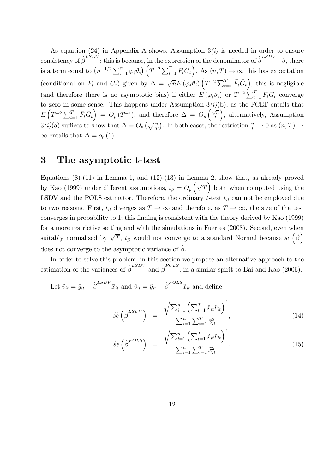As equation (24) in Appendix A shows, Assumption  $3(i)$  is needed in order to ensure consistency of  $\hat{\beta}^{LSDV}$ ; this is because, in the expression of the denominator of  $\hat{\beta}^{LSDV}$  -  $\beta$ , there is a term equal to  $(n^{-1/2}\sum_{i=1}^n\varphi_i\vartheta_i)\left(T^{-2}\sum_{t=1}^T\bar{F}_t\bar{G}_t\right)$ . As  $(n,T)\to\infty$  this has expectation (conditional on  $F_t$  and  $G_t$ ) given by  $\Delta = \sqrt{n} E (\varphi_i \vartheta_i) \left( T^{-2} \sum_{t=1}^T \bar{F}_t \bar{G}_t \right)$ ; this is negligible (and therefore there is no asymptotic bias) if either  $E(\varphi_i \vartheta_i)$  or  $T^{-2} \sum_{t=1}^T \bar{F}_t \bar{G}_t$  converge to zero in some sense. This happens under Assumption  $3(i)(b)$ , as the FCLT entails that  $E\left(T^{-2}\sum_{t=1}^{T}\bar{F}_t\bar{G}_t\right) = O_p(T^{-1}),$  and therefore  $\Delta = O_p\left(\frac{\sqrt{n}}{T}\right)$ T ; alternatively, Assumption  $3(i)$ (a) suffices to show that  $\Delta = O_p\left(\sqrt{\frac{n}{T}}\right)$ . In both cases, the restriction  $\frac{n}{T} \to 0$  as  $(n, T) \to$  $\infty$  entails that  $\Delta = o_p(1)$ .

### 3 The asymptotic t-test

Equations  $(8)-(11)$  in Lemma 1, and  $(12)-(13)$  in Lemma 2, show that, as already proved by Kao (1999) under different assumptions,  $t_{\beta} = O_p\left(\sqrt{T}\right)$  both when computed using the LSDV and the POLS estimator. Therefore, the ordinary  $\acute{t}$ -test  $t_{\beta}$  can not be employed due to two reasons. First,  $t_{\beta}$  diverges as  $T \to \infty$  and therefore, as  $T \to \infty$ , the size of the test converges in probability to 1; this finding is consistent with the theory derived by Kao (1999) for a more restrictive setting and with the simulations in Fuertes (2008). Second, even when suitably normalised by  $\sqrt{T}$ ,  $t_\beta$  would not converge to a standard Normal because  $se\left(\hat{\beta}\right)$ does not converge to the asymptotic variance of  $\hat{\beta}$ .

In order to solve this problem, in this section we propose an alternative approach to the estimation of the variances of  $\hat{\beta}^{ESDV}$  and  $\hat{\beta}^{POLS}$ , in a similar spirit to Bai and Kao (2006).

Let 
$$
\hat{v}_{it} = \bar{y}_{it} - \hat{\beta}^{LSDV} \bar{x}_{it}
$$
 and  $\check{v}_{it} = \tilde{y}_{it} - \hat{\beta}^{POLS} \tilde{x}_{it}$  and define

$$
\widetilde{se}\left(\widehat{\beta}^{LSDV}\right) = \frac{\sqrt{\sum_{i=1}^{n} \left(\sum_{t=1}^{T} \bar{x}_{it} \widehat{v}_{it}\right)^{2}}}{\sum_{i=1}^{n} \sum_{t=1}^{T} \bar{x}_{it}^{2}},
$$
\n(14)

$$
\tilde{se}\left(\hat{\beta}^{POLS}\right) = \frac{\sqrt{\sum_{i=1}^{n} \left(\sum_{t=1}^{T} \tilde{x}_{it} \check{v}_{it}\right)^{2}}}{\sum_{i=1}^{n} \sum_{t=1}^{T} \tilde{x}_{it}^{2}}.
$$
\n(15)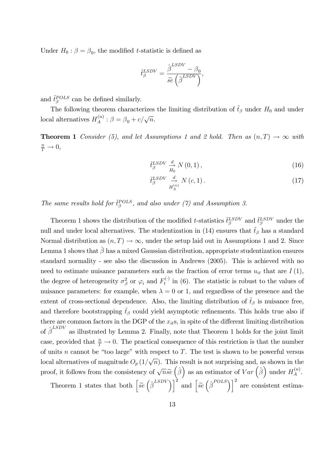Under  $H_0: \beta = \beta_0$ , the modified *t*-statistic is defined as

$$
\tilde{t}_{\beta}^{LSDV} = \frac{\hat{\beta}^{LSDV} - \beta_0}{\tilde{se} \left(\hat{\beta}^{LSDV}\right)},
$$

and  $\tilde{t}^{POLS}_{\beta}$  can be defined similarly.

The following theorem characterizes the limiting distribution of  $\tilde{t}_{\beta}$  under  $H_0$  and under local alternatives  $H_A^{(n)}$  $A^{(n)}$ :  $\beta = \beta_0 + c/\sqrt{n}$ .

**Theorem 1** Consider (5), and let Assumptions 1 and 2 hold. Then as  $(n, T) \rightarrow \infty$  with  $\frac{n}{T} \to 0,$ 

$$
\tilde{t}_{\beta}^{LSDV} \xrightarrow[H_0]{d} N(0,1),\tag{16}
$$

$$
\tilde{t}_{\beta}^{LSDV} \underset{H_A^{(n)}}{\xrightarrow{d}} N(c,1). \tag{17}
$$

The same results hold for  $\tilde{t}^{POLS}_{\beta}$ , and also under (7) and Assumption 3.

Theorem 1 shows the distribution of the modified t-statistics  $\tilde{t}^{LSDV}_{\beta}$  and  $\tilde{t}^{LSDV}_{\beta}$  under the null and under local alternatives. The studentization in (14) ensures that  $\tilde{t}_{\beta}$  has a standard Normal distribution as  $(n, T) \rightarrow \infty$ , under the setup laid out in Assumptions 1 and 2. Since Lemma 1 shows that  $\hat{\beta}$  has a mixed Gaussian distribution, appropriate studentization ensures standard normality - see also the discussion in Andrews (2005). This is achieved with no need to estimate nuisance parameters such as the fraction of error terms  $u_{it}$  that are  $I(1)$ , the degree of heterogeneity  $\sigma_{\beta}^2$  or  $\varphi_i$  and  $F_t^{(\cdot)}$  in (6). The statistic is robust to the values of nuisance parameters: for example, when  $\lambda = 0$  or 1, and regardless of the presence and the extent of cross-sectional dependence. Also, the limiting distribution of  $\tilde{t}_{\beta}$  is nuisance free, and therefore bootstrapping  $\tilde{t}_{\beta}$  could yield asymptotic refinements. This holds true also if there are common factors in the DGP of the  $x_{it}$ s, in spite of the different limiting distribution of  $\hat{\beta}^{LSDV}$  as illustrated by Lemma 2. Finally, note that Theorem 1 holds for the joint limit case, provided that  $\frac{n}{T} \to 0$ . The practical consequence of this restriction is that the number of units n cannot be "too large" with respect to T. The test is shown to be powerful versus local alternatives of magnitude  $O_p(1/\sqrt{n})$ . This result is not surprising and, as shown in the proof, it follows from the consistency of  $\sqrt{n}\tilde{s}\tilde{e}$   $(\hat{\beta})$  as an estimator of  $Var\left(\hat{\beta}\right)$  under  $H_A^{(n)}$  $A^{(n)}$ . Theorem 1 states that both  $\left[\tilde{se}\left(\hat{\beta}^{LSDV}\right)\right]^2$  and  $\left[\tilde{se}\left(\hat{\beta}^{POLS}\right)\right]^2$  are consistent estima-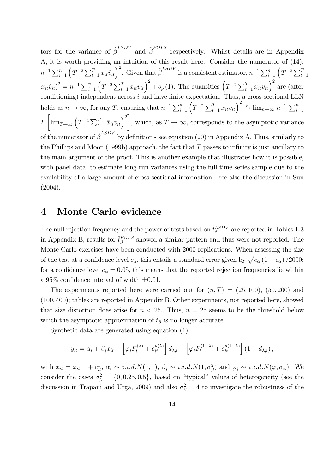tors for the variance of  $\hat{\beta}^{LSDV}$  and  $\hat{\beta}^{POLS}$  respectively. Whilst details are in Appendix A, it is worth providing an intuition of this result here. Consider the numerator of (14),  $n^{-1} \sum_{i=1}^{n} \left( T^{-2} \sum_{t=1}^{T} \bar{x}_{it} \hat{v}_{it} \right)^2$ . Given that  $\hat{\beta}^{LSDV}$  is a consistent estimator,  $n^{-1} \sum_{i=1}^{n} \left( T^{-2} \sum_{t=1}^{T} \bar{v}_{it} \hat{v}_{it} \right)^2$  $(\bar{x}_{it}\hat{v}_{it})^2 = n^{-1} \sum_{i=1}^n (T^{-2} \sum_{t=1}^T \bar{x}_{it}v_{it})^2 + o_p(1)$ . The quantities  $(T^{-2} \sum_{t=1}^T \bar{x}_{it}v_{it})^2$  are (after conditioning) independent across  $i$  and have finite expectation. Thus, a cross-sectional LLN holds as  $n \to \infty$ , for any T, ensuring that  $n^{-1} \sum_{i=1}^{n} \left( T^{-2} \sum_{t=1}^{T} \bar{x}_{it} v_{it} \right)^2 \stackrel{p}{\to} \lim_{n \to \infty} n^{-1} \sum_{i=1}^{n}$ E  $\left[\lim_{T\to\infty}\left(T^{-2}\sum_{t=1}^T \bar{x}_{it}v_{it}\right)^2\right]$ , which, as  $T \to \infty$ , corresponds to the asymptotic variance of the numerator of  $\hat{\beta}^{LSDV}$  by definition - see equation (20) in Appendix A. Thus, similarly to the Phillips and Moon (1999b) approach, the fact that  $T$  passes to infinity is just ancillary to the main argument of the proof. This is another example that illustrates how it is possible, with panel data, to estimate long run variances using the full time series sample due to the availability of a large amount of cross sectional information - see also the discussion in Sun (2004).

#### 4 Monte Carlo evidence

The null rejection frequency and the power of tests based on  $\tilde{t}^{LSDV}_{\beta}$  are reported in Tables 1-3 in Appendix B; results for  $\tilde{t}^{POLS}_{\beta}$  showed a similar pattern and thus were not reported. The Monte Carlo exercises have been conducted with 2000 replications. When assessing the size of the test at a confidence level  $c_{\alpha}$ , this entails a standard error given by  $\sqrt{c_{\alpha}(1 - c_{\alpha})/2000}$ ; for a confidence level  $c_{\alpha} = 0.05$ , this means that the reported rejection frequencies lie within a 95\% confidence interval of width  $\pm 0.01$ .

The experiments reported here were carried out for  $(n, T) = (25, 100)$ ,  $(50, 200)$  and (100; 400); tables are reported in Appendix B. Other experiments, not reported here, showed that size distortion does arise for  $n < 25$ . Thus,  $n = 25$  seems to be the threshold below which the asymptotic approximation of  $\tilde{t}_{\beta}$  is no longer accurate.

Synthetic data are generated using equation (1)

$$
y_{it} = \alpha_i + \beta_i x_{it} + \left[\varphi_i F_t^{(\lambda)} + e_{it}^{u(\lambda)}\right] d_{\lambda,i} + \left[\varphi_i F_t^{(1-\lambda)} + e_{it}^{u(1-\lambda)}\right] (1-d_{\lambda,i}),
$$

with  $x_{it} = x_{it-1} + e_{it}^x$ ,  $\alpha_i \sim i.i.d.N(1,1)$ ,  $\beta_i \sim i.i.d.N(1,\sigma_\beta^2)$  and  $\varphi_i \sim i.i.d.N(\bar{\varphi}, \sigma_\varphi)$ . We consider the cases  $\sigma_{\beta}^2 = \{0, 0.25, 0.5\}$ , based on "typical" values of heterogeneity (see the discussion in Trapani and Urga, 2009) and also  $\sigma_{\beta}^2 = 4$  to investigate the robustness of the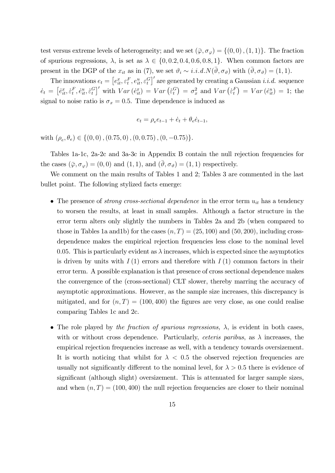test versus extreme levels of heterogeneity; and we set  $(\bar{\varphi}, \sigma_{\varphi}) = \{(0, 0), (1, 1)\}\.$  The fraction of spurious regressions,  $\lambda$ , is set as  $\lambda \in \{0, 0.2, 0.4, 0.6, 0.8, 1\}$ . When common factors are present in the DGP of the  $x_{it}$  as in (7), we set  $\vartheta_i \sim i.i.d.N(\overline{\vartheta}, \sigma_{\vartheta})$  with  $(\overline{\vartheta}, \sigma_{\vartheta}) = (1, 1)$ .

The innovations  $e_t = [e_{it}^x, \varepsilon_t^F, e_{it}^u, \varepsilon_t^G]'$  are generated by creating a Gaussian *i.i.d.* sequence  $\dot{e}_t = \left[\dot{e}_{it}^x, \dot{\varepsilon}_t^F, \dot{e}_{it}^u, \dot{\varepsilon}_t^G\right]'$  with  $Var\left(\dot{e}_{it}^x\right) = Var\left(\dot{\varepsilon}_t^G\right) = \sigma_x^2$  and  $Var\left(\dot{\varepsilon}_t^F\right) = Var\left(\dot{e}_{it}^u\right) = 1$ ; the signal to noise ratio is  $\sigma_x = 0.5$ . Time dependence is induced as

$$
e_t = \rho_e e_{t-1} + \dot{e}_t + \theta_e \dot{e}_{t-1},
$$

with  $(\rho_e, \theta_e) \in \{(0, 0), (0.75, 0), (0, 0.75), (0, -0.75)\}.$ 

Tables 1a-1c, 2a-2c and 3a-3c in Appendix B contain the null rejection frequencies for the cases  $(\bar{\varphi}, \sigma_{\varphi}) = (0, 0)$  and  $(1, 1)$ , and  $(\bar{\vartheta}, \sigma_{\vartheta}) = (1, 1)$  respectively.

We comment on the main results of Tables 1 and 2; Tables 3 are commented in the last bullet point. The following stylized facts emerge:

- The presence of *strong cross-sectional dependence* in the error term  $u_{it}$  has a tendency to worsen the results, at least in small samples. Although a factor structure in the error term alters only slightly the numbers in Tables 2a and 2b (when compared to those in Tables 1a and 1b) for the cases  $(n, T) = (25, 100)$  and  $(50, 200)$ , including crossdependence makes the empirical rejection frequencies less close to the nominal level 0.05. This is particularly evident as  $\lambda$  increases, which is expected since the asymptotics is driven by units with  $I(1)$  errors and therefore with  $I(1)$  common factors in their error term. A possible explanation is that presence of cross sectional dependence makes the convergence of the (cross-sectional) CLT slower, thereby marring the accuracy of asymptotic approximations. However, as the sample size increases, this discrepancy is mitigated, and for  $(n, T) = (100, 400)$  the figures are very close, as one could realise comparing Tables 1c and 2c.
- The role played by the fraction of spurious regressions,  $\lambda$ , is evident in both cases, with or without cross dependence. Particularly, *ceteris paribus*, as  $\lambda$  increases, the empirical rejection frequencies increase as well, with a tendency towards oversizement. It is worth noticing that whilst for  $\lambda < 0.5$  the observed rejection frequencies are usually not significantly different to the nominal level, for  $\lambda > 0.5$  there is evidence of significant (although slight) oversizement. This is attenuated for larger sample sizes, and when  $(n, T) = (100, 400)$  the null rejection frequencies are closer to their nominal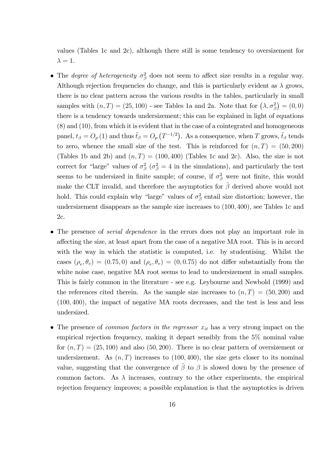values (Tables 1c and 2c), although there still is some tendency to oversizement for  $\lambda = 1.$ 

- The *degree of heterogeneity*  $\sigma_{\beta}^2$  does not seem to affect size results in a regular way. Although rejection frequencies do change, and this is particularly evident as  $\lambda$  grows, there is no clear pattern across the various results in the tables, particularly in small samples with  $(n, T) = (25, 100)$  - see Tables 1a and 2a. Note that for  $(\lambda, \sigma_{\beta}^2) = (0, 0)$ there is a tendency towards undersizement; this can be explained in light of equations (8) and (10), from which it is evident that in the case of a cointegrated and homogeneous panel,  $t_\beta = O_p(1)$  and thus  $\tilde{t}_\beta = O_p(T^{-1/2})$ . As a consequence, when T grows,  $\tilde{t}_\beta$  tends to zero, whence the small size of the test. This is reinforced for  $(n, T) = (50, 200)$ (Tables 1b and 2b) and  $(n, T) = (100, 400)$  (Tables 1c and 2c). Also, the size is not correct for "large" values of  $\sigma_{\beta}^2$  ( $\sigma_{\beta}^2 = 4$  in the simulations), and particularly the test seems to be undersized in finite sample; of course, if  $\sigma_{\beta}^2$  were not finite, this would make the CLT invalid, and therefore the asymptotics for  $\beta$  derived above would not hold. This could explain why "large" values of  $\sigma_{\beta}^2$  entail size distortion; however, the undersizement disappears as the sample size increases to (100; 400), see Tables 1c and 2c.
- The presence of *serial dependence* in the errors does not play an important role in a§ecting the size, at least apart from the case of a negative MA root. This is in accord with the way in which the statistic is computed, i.e. by studentising. Whilst the cases  $(\rho_e, \theta_e) = (0.75, 0)$  and  $(\rho_e, \theta_e) = (0, 0.75)$  do not differ substantially from the white noise case, negative MA root seems to lead to undersizement in small samples. This is fairly common in the literature - see e.g. Leybourne and Newbold (1999) and the references cited therein. As the sample size increases to  $(n, T) = (50, 200)$  and (100; 400), the impact of negative MA roots decreases, and the test is less and less undersized.
- The presence of *common factors in the regressor*  $x_{it}$  has a very strong impact on the empirical rejection frequency, making it depart sensibly from the 5% nominal value for  $(n, T) = (25, 100)$  and also (50, 200). There is no clear pattern of oversizement or undersizement. As  $(n, T)$  increases to  $(100, 400)$ , the size gets closer to its nominal value, suggesting that the convergence of  $\hat{\beta}$  to  $\beta$  is slowed down by the presence of common factors. As  $\lambda$  increases, contrary to the other experiments, the empirical rejection frequency improves; a possible explanation is that the asymptotics is driven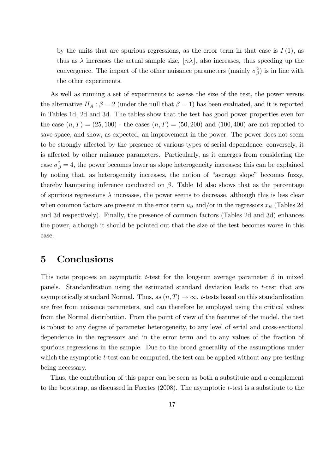by the units that are spurious regressions, as the error term in that case is  $I(1)$ , as thus as  $\lambda$  increases the actual sample size,  $|n\lambda|$ , also increases, thus speeding up the convergence. The impact of the other nuisance parameters (mainly  $\sigma_{\beta}^2$ ) is in line with the other experiments.

As well as running a set of experiments to assess the size of the test, the power versus the alternative  $H_A: \beta = 2$  (under the null that  $\beta = 1$ ) has been evaluated, and it is reported in Tables 1d, 2d and 3d. The tables show that the test has good power properties even for the case  $(n, T) = (25, 100)$  - the cases  $(n, T) = (50, 200)$  and  $(100, 400)$  are not reported to save space, and show, as expected, an improvement in the power. The power does not seem to be strongly affected by the presence of various types of serial dependence; conversely, it is affected by other nuisance parameters. Particularly, as it emerges from considering the case  $\sigma_{\beta}^2 = 4$ , the power becomes lower as slope heterogeneity increases; this can be explained by noting that, as heterogeneity increases, the notion of "average slope" becomes fuzzy, thereby hampering inference conducted on  $\beta$ . Table 1d also shows that as the percentage of spurious regressions  $\lambda$  increases, the power seems to decrease, although this is less clear when common factors are present in the error term  $u_{it}$  and/or in the regressors  $x_{it}$  (Tables 2d and 3d respectively). Finally, the presence of common factors (Tables 2d and 3d) enhances the power, although it should be pointed out that the size of the test becomes worse in this case.

### 5 Conclusions

This note proposes an asymptotic t-test for the long-run average parameter  $\beta$  in mixed panels. Standardization using the estimated standard deviation leads to t-test that are asymptotically standard Normal. Thus, as  $(n, T) \rightarrow \infty$ , t-tests based on this standardization are free from nuisance parameters, and can therefore be employed using the critical values from the Normal distribution. From the point of view of the features of the model, the test is robust to any degree of parameter heterogeneity, to any level of serial and cross-sectional dependence in the regressors and in the error term and to any values of the fraction of spurious regressions in the sample. Due to the broad generality of the assumptions under which the asymptotic t-test can be computed, the test can be applied without any pre-testing being necessary.

Thus, the contribution of this paper can be seen as both a substitute and a complement to the bootstrap, as discussed in Fuertes  $(2008)$ . The asymptotic t-test is a substitute to the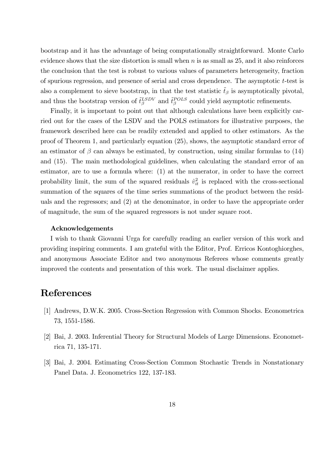bootstrap and it has the advantage of being computationally straightforward. Monte Carlo evidence shows that the size distortion is small when  $n$  is as small as 25, and it also reinforces the conclusion that the test is robust to various values of parameters heterogeneity, fraction of spurious regression, and presence of serial and cross dependence. The asymptotic  $t$ -test is also a complement to sieve bootstrap, in that the test statistic  $\tilde{t}_{\beta}$  is asymptotically pivotal, and thus the bootstrap version of  $\tilde{t}^{LSDV}_{\beta}$  and  $\tilde{t}^{POLS}_{\beta}$  could yield asymptotic refinements.

Finally, it is important to point out that although calculations have been explicitly carried out for the cases of the LSDV and the POLS estimators for illustrative purposes, the framework described here can be readily extended and applied to other estimators. As the proof of Theorem 1, and particularly equation (25), shows, the asymptotic standard error of an estimator of  $\beta$  can always be estimated, by construction, using similar formulas to (14) and (15). The main methodological guidelines, when calculating the standard error of an estimator, are to use a formula where: (1) at the numerator, in order to have the correct probability limit, the sum of the squared residuals  $\hat{v}_{it}^2$  is replaced with the cross-sectional summation of the squares of the time series summations of the product between the residuals and the regressors; and (2) at the denominator, in order to have the appropriate order of magnitude, the sum of the squared regressors is not under square root.

#### Acknowledgements

I wish to thank Giovanni Urga for carefully reading an earlier version of this work and providing inspiring comments. I am grateful with the Editor, Prof. Erricos Kontoghiorghes, and anonymous Associate Editor and two anonymous Referees whose comments greatly improved the contents and presentation of this work. The usual disclaimer applies.

### References

- [1] Andrews, D.W.K. 2005. Cross-Section Regression with Common Shocks. Econometrica 73, 1551-1586.
- [2] Bai, J. 2003. Inferential Theory for Structural Models of Large Dimensions. Econometrica 71, 135-171.
- [3] Bai, J. 2004. Estimating Cross-Section Common Stochastic Trends in Nonstationary Panel Data. J. Econometrics 122, 137-183.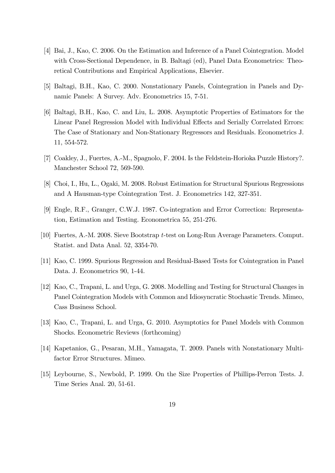- [4] Bai, J., Kao, C. 2006. On the Estimation and Inference of a Panel Cointegration. Model with Cross-Sectional Dependence, in B. Baltagi (ed), Panel Data Econometrics: Theoretical Contributions and Empirical Applications, Elsevier.
- [5] Baltagi, B.H., Kao, C. 2000. Nonstationary Panels, Cointegration in Panels and Dynamic Panels: A Survey. Adv. Econometrics 15, 7-51.
- [6] Baltagi, B.H., Kao, C. and Liu, L. 2008. Asymptotic Properties of Estimators for the Linear Panel Regression Model with Individual Effects and Serially Correlated Errors: The Case of Stationary and Non-Stationary Regressors and Residuals. Econometrics J. 11, 554-572.
- [7] Coakley, J., Fuertes, A.-M., Spagnolo, F. 2004. Is the Feldstein-Horioka Puzzle History?. Manchester School 72, 569-590.
- [8] Choi, I., Hu, L., Ogaki, M. 2008. Robust Estimation for Structural Spurious Regressions and A Hausman-type Cointegration Test. J. Econometrics 142, 327-351.
- [9] Engle, R.F., Granger, C.W.J. 1987. Co-integration and Error Correction: Representation, Estimation and Testing. Econometrica 55, 251-276.
- [10] Fuertes, A.-M. 2008. Sieve Bootstrap t-test on Long-Run Average Parameters. Comput. Statist. and Data Anal. 52, 3354-70.
- [11] Kao, C. 1999. Spurious Regression and Residual-Based Tests for Cointegration in Panel Data. J. Econometrics 90, 1-44.
- [12] Kao, C., Trapani, L. and Urga, G. 2008. Modelling and Testing for Structural Changes in Panel Cointegration Models with Common and Idiosyncratic Stochastic Trends. Mimeo, Cass Business School.
- [13] Kao, C., Trapani, L. and Urga, G. 2010. Asymptotics for Panel Models with Common Shocks. Econometric Reviews (forthcoming)
- [14] Kapetanios, G., Pesaran, M.H., Yamagata, T. 2009. Panels with Nonstationary Multifactor Error Structures. Mimeo.
- [15] Leybourne, S., Newbold, P. 1999. On the Size Properties of Phillips-Perron Tests. J. Time Series Anal. 20, 51-61.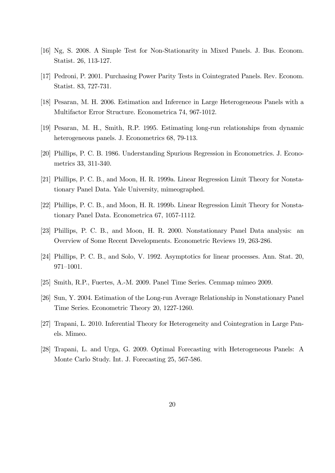- [16] Ng, S. 2008. A Simple Test for Non-Stationarity in Mixed Panels. J. Bus. Econom. Statist. 26, 113-127.
- [17] Pedroni, P. 2001. Purchasing Power Parity Tests in Cointegrated Panels. Rev. Econom. Statist. 83, 727-731.
- [18] Pesaran, M. H. 2006. Estimation and Inference in Large Heterogeneous Panels with a Multifactor Error Structure. Econometrica 74, 967-1012.
- [19] Pesaran, M. H., Smith, R.P. 1995. Estimating long-run relationships from dynamic heterogeneous panels. J. Econometrics 68, 79-113.
- [20] Phillips, P. C. B. 1986. Understanding Spurious Regression in Econometrics. J. Econometrics 33, 311-340.
- [21] Phillips, P. C. B., and Moon, H. R. 1999a. Linear Regression Limit Theory for Nonstationary Panel Data. Yale University, mimeographed.
- [22] Phillips, P. C. B., and Moon, H. R. 1999b. Linear Regression Limit Theory for Nonstationary Panel Data. Econometrica 67, 1057-1112.
- [23] Phillips, P. C. B., and Moon, H. R. 2000. Nonstationary Panel Data analysis: an Overview of Some Recent Developments. Econometric Reviews 19, 263-286.
- [24] Phillips, P. C. B., and Solo, V. 1992. Asymptotics for linear processes. Ann. Stat. 20,  $971 - 1001.$
- [25] Smith, R.P., Fuertes, A.-M. 2009. Panel Time Series. Cemmap mimeo 2009.
- [26] Sun, Y. 2004. Estimation of the Long-run Average Relationship in Nonstationary Panel Time Series. Econometric Theory 20, 1227-1260.
- [27] Trapani, L. 2010. Inferential Theory for Heterogeneity and Cointegration in Large Panels. Mimeo.
- [28] Trapani, L. and Urga, G. 2009. Optimal Forecasting with Heterogeneous Panels: A Monte Carlo Study. Int. J. Forecasting 25, 567-586.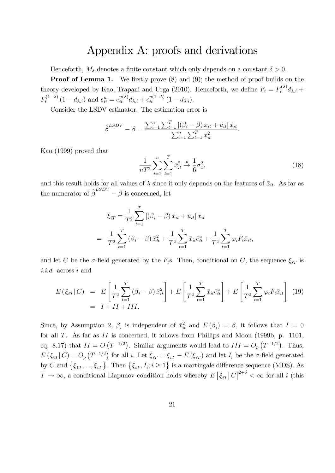## Appendix A: proofs and derivations

Henceforth,  $M_{\delta}$  denotes a finite constant which only depends on a constant  $\delta > 0$ .

**Proof of Lemma 1.** We firstly prove  $(8)$  and  $(9)$ ; the method of proof builds on the theory developed by Kao, Trapani and Urga (2010). Henceforth, we define  $F_t = F_t^{(\lambda)} d_{\lambda,i} +$  $F_t^{(1-\lambda)}(1-d_{\lambda,i})$  and  $e_{it}^u = e_{it}^{u(\lambda)}d_{\lambda,i} + e_{it}^{u(1-\lambda)}(1-d_{\lambda,i}).$ 

Consider the LSDV estimator. The estimation error is

$$
\hat{\beta}^{LSDV} - \beta = \frac{\sum_{i=1}^{n} \sum_{t=1}^{T} [(\beta_i - \beta) \bar{x}_{it} + \bar{u}_{it}] \bar{x}_{it}}{\sum_{i=1}^{n} \sum_{t=1}^{T} \bar{x}_{it}^{2}}.
$$

Kao (1999) proved that

$$
\frac{1}{nT^2} \sum_{i=1}^n \sum_{t=1}^T \bar{x}_{it}^2 \xrightarrow{\ p} \frac{1}{6} \sigma_x^2,\tag{18}
$$

and this result holds for all values of  $\lambda$  since it only depends on the features of  $\bar{x}_{it}$ . As far as the numerator of  $\hat{\beta}^{LSDV} - \beta$  is concerned, let

$$
\xi_{iT} = \frac{1}{T^2} \sum_{t=1}^{T} \left[ (\beta_i - \beta) \bar{x}_{it} + \bar{u}_{it} \right] \bar{x}_{it}
$$
  
= 
$$
\frac{1}{T^2} \sum_{t=1}^{T} (\beta_i - \beta) \bar{x}_{it}^2 + \frac{1}{T^2} \sum_{t=1}^{T} \bar{x}_{it} \bar{e}_{it}^u + \frac{1}{T^2} \sum_{t=1}^{T} \varphi_i \bar{F}_t \bar{x}_{it},
$$

and let C be the  $\sigma$ -field generated by the  $F_t$ s. Then, conditional on C, the sequence  $\xi_{iT}$  is i.i.d. across i and

$$
E(\xi_{iT}|C) = E\left[\frac{1}{T^2}\sum_{t=1}^T (\beta_i - \beta) \bar{x}_{it}^2\right] + E\left[\frac{1}{T^2}\sum_{t=1}^T \bar{x}_{it} \bar{e}_{it}^u\right] + E\left[\frac{1}{T^2}\sum_{t=1}^T \varphi_i \bar{F}_t \bar{x}_{it}\right]
$$
(19)  
=  $I + II + III$ .

Since, by Assumption 2,  $\beta_i$  is independent of  $\bar{x}_{it}^2$  and  $E(\beta_i) = \beta$ , it follows that  $I = 0$ for all  $T$ . As far as  $II$  is concerned, it follows from Phillips and Moon (1999b, p. 1101, eq. 8.17) that  $II = O(T^{-1/2})$ . Similar arguments would lead to  $III = O_p(T^{-1/2})$ . Thus,  $E(\xi_{iT}|C) = O_p(T^{-1/2})$  for all i. Let  $\bar{\xi}_{iT} = \xi_{iT} - E(\xi_{iT})$  and let  $I_i$  be the  $\sigma$ -field generated by C and  $\{\bar{\xi}_{1T},...,\bar{\xi}_{iT}\}\$ . Then  $\{\bar{\xi}_{iT},I_i; i\geq 1\}$  is a martingale difference sequence (MDS). As  $T \to \infty$ , a conditional Liapunov condition holds whereby  $E|\bar{\xi}_{iT}| C|^{2+\delta} < \infty$  for all i (this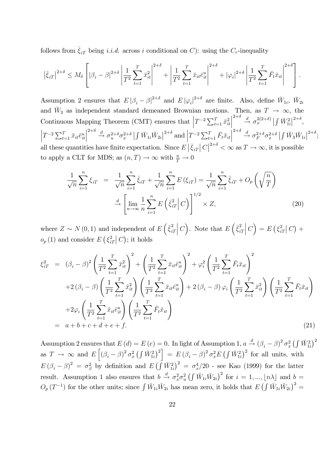follows from  $\bar{\xi}_{iT}$  being *i.i.d.* across i conditional on C): using the C<sub>r</sub>-inequality

$$
\left|\bar{\xi}_{iT}\right|^{2+\delta} \le M_{\delta} \left[ \left|\beta_i - \beta\right|^{2+\delta} \left|\frac{1}{T^2} \sum_{t=1}^T \bar{x}_{it}^2 \right|^{2+\delta} + \left|\frac{1}{T^2} \sum_{t=1}^T \bar{x}_{it} \bar{e}_{it}^u \right|^{2+\delta} + |\varphi_i|^{2+\delta} \left|\frac{1}{T^2} \sum_{t=1}^T \bar{F}_t \bar{x}_{it} \right|^{2+\delta} \right].
$$

Assumption 2 ensures that  $E |\beta_i - \beta|^{2+\delta}$  and  $E |\varphi_i|^{2+\delta}$  are finite. Also, define  $\bar{W}_{1i}$ ,  $\bar{W}_{2i}$ and  $\bar{W}_3$  as independent standard demeaned Brownian motions. Then, as  $T \to \infty$ , the <sup>3</sup> as independent standard demeaned Brownian motions. Then, as  $T \to \infty$ , the Continuous Mapping Theorem (CMT) ensures that  $T^{-2} \sum_{t=1}^{T} \bar{x}_{it}^2$   $\stackrel{2+\delta}{\rightarrow} \stackrel{d}{\rightarrow} \sigma_x^{2(2+\delta)} \left| \int \bar{W}_{1i}^2 \right|^{2+\delta},$  $\left|T^{-2}\sum_{t=1}^T \bar{x}_{it}\bar{e}^u_{it}\right|$   $\stackrel{2+\delta}{\to} \sigma_u^{2+\delta} \sigma_x^{2+\delta} \left| \int \bar{W}_{1i} \bar{W}_{2i} \right|^{2+\delta}$  and  $\left| T^{-2} \sum_{t=1}^T \bar{F}_t \bar{x}_{it} \right|$  $\stackrel{2+\delta}{\longrightarrow} \stackrel{d}{\sigma_F} \sigma_x^{2+\delta} \sigma_x^{2+\delta} | \int \bar{W}_3 \bar{W}_{1i} |^{2+\delta};$ all these quantities have finite expectation. Since  $E|\bar{\xi}_{iT}|C|^{2+\delta} < \infty$  as  $T \to \infty$ , it is possible  $_{2+\delta}$ to apply a CLT for MDS; as  $(n,T) \to \infty$  with  $\frac{n}{T} \to 0$ 

$$
\frac{1}{\sqrt{n}}\sum_{i=1}^{n}\xi_{iT} = \frac{1}{\sqrt{n}}\sum_{i=1}^{n}\overline{\xi}_{iT} + \frac{1}{\sqrt{n}}\sum_{i=1}^{n}E(\xi_{iT}) = \frac{1}{\sqrt{n}}\sum_{i=1}^{n}\overline{\xi}_{iT} + O_p\left(\sqrt{\frac{n}{T}}\right)
$$

$$
\stackrel{d}{\to} \left[\lim_{n\to\infty}\frac{1}{n}\sum_{i=1}^{n}E\left(\overline{\xi}_{iT}^{2}\middle|C\right)\right]^{1/2}\times Z,\tag{20}
$$

where  $Z \sim N(0, 1)$  and independent of  $E\left(\bar{\xi}_{i}^{2}\right)$ iT  $\Big| C \Big)$ . Note that  $E\left(\bar{\xi}_{i}^{2}\right)$  $iT$  $\Big|\,C\Big)=E\,\big(\,\xi_i^2\,\,$  $\frac{2}{iT}\big|C\big| +$  $o_p(1)$  and consider  $E\left(\xi_i^2\right)$  $\int_{iT}^{2} |C|$ ; it holds

$$
\xi_{iT}^2 = (\beta_i - \beta)^2 \left( \frac{1}{T^2} \sum_{t=1}^T \bar{x}_{it}^2 \right)^2 + \left( \frac{1}{T^2} \sum_{t=1}^T \bar{x}_{it} \bar{e}_{it}^u \right)^2 + \varphi_i^2 \left( \frac{1}{T^2} \sum_{t=1}^T \bar{F}_t \bar{x}_{it} \right)^2 \n+ 2 (\beta_i - \beta) \left( \frac{1}{T^2} \sum_{t=1}^T \bar{x}_{it}^2 \right) \left( \frac{1}{T^2} \sum_{t=1}^T \bar{x}_{it} \bar{e}_{it}^u \right) + 2 (\beta_i - \beta) \varphi_i \left( \frac{1}{T^2} \sum_{t=1}^T \bar{x}_{it}^2 \right) \left( \frac{1}{T^2} \sum_{t=1}^T \bar{F}_t \bar{x}_{it} \right) \n+ 2 \varphi_i \left( \frac{1}{T^2} \sum_{t=1}^T \bar{x}_{it} \bar{e}_{it}^u \right) \left( \frac{1}{T^2} \sum_{t=1}^T \bar{F}_t \bar{x}_{it} \right) \n= a + b + c + d + e + f.
$$
\n(21)

Assumption 2 ensures that  $E(d) = E(e) = 0$ . In light of Assumption 1,  $a \stackrel{d}{\rightarrow} (\beta_i - \beta)^2 \sigma_x^2 \left(\int \bar{W}_{1i}^2\right)^2$ as  $T \to \infty$  and  $E\left[ (\beta_i - \beta)^2 \sigma_x^2 \left( \int \bar{W}_{1i}^2 \right)^2 \right] = E\left( \beta_i - \beta \right)^2 \sigma_x^2 E\left( \int \bar{W}_{1i}^2 \right)^2$  for all units, with  $E(\beta_i - \beta)^2 = \sigma_{\beta}^2$  by definition and  $E(\int \overline{W}_{1i}^2)^2 = \sigma_x^4/20$  - see Kao (1999) for the latter result. Assumption 1 also ensures that  $b \stackrel{d}{\rightarrow} \sigma_x^2 \sigma_u^2 \left( \int \bar{W}_{1i} \bar{W}_{2i} \right)^2$  for  $i = 1, ..., \lfloor n\lambda \rfloor$  and  $b =$  $O_p(T^{-1})$  for the other units; since  $\int \bar{W}_{1i} \bar{W}_{2i}$  has mean zero, it holds that  $E(\int \bar{W}_{1i} \bar{W}_{2i})^2 =$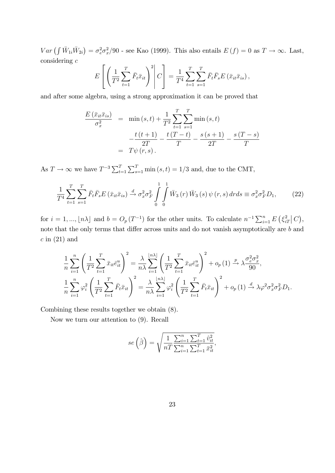$Var\left(\int \bar{W}_{1i}\bar{W}_{2i}\right) = \sigma_e^2 \sigma_x^2/90$  - see Kao (1999). This also entails  $E(f) = 0$  as  $T \to \infty$ . Last, considering c

$$
E\left[\left(\frac{1}{T^2}\sum_{t=1}^T \bar{F}_t \bar{x}_{it}\right)^2 \middle| C\right] = \frac{1}{T^4}\sum_{t=1}^T \sum_{s=1}^T \bar{F}_t \bar{F}_s E\left(\bar{x}_{it} \bar{x}_{is}\right),
$$

and after some algebra, using a strong approximation it can be proved that

$$
\frac{E(\bar{x}_{it}\bar{x}_{is})}{\sigma_x^2} = \min(s,t) + \frac{1}{T^2} \sum_{t=1}^T \sum_{s=1}^T \min(s,t) -\frac{t(t+1)}{2T} - \frac{t(T-t)}{T} - \frac{s(s+1)}{2T} - \frac{s(T-s)}{T}
$$

$$
= T\psi(r,s).
$$

As  $T \to \infty$  we have  $T^{-3} \sum_{t=1}^{T} \sum_{s=1}^{T} \min(s, t) = 1/3$  and, due to the CMT,

$$
\frac{1}{T^4} \sum_{t=1}^{T} \sum_{s=1}^{T} \bar{F}_t \bar{F}_s E \left( \bar{x}_{it} \bar{x}_{is} \right) \stackrel{d}{\to} \sigma_x^2 \sigma_F^2 \int_{0}^{1} \int_{0}^{1} \bar{W}_3 \left( r \right) \bar{W}_3 \left( s \right) \psi \left( r, s \right) dr ds \equiv \sigma_x^2 \sigma_F^2 D_1,\tag{22}
$$

for  $i = 1, ..., \lfloor n\lambda \rfloor$  and  $b = O_p(T^{-1})$  for the other units. To calculate  $n^{-1} \sum_{i=1}^n E(\xi_i^2)$  $\frac{2}{iT}\big|C\big),$ note that the only terms that differ across units and do not vanish asymptotically are  $b$  and  $c$  in  $(21)$  and

$$
\frac{1}{n}\sum_{i=1}^{n}\left(\frac{1}{T^2}\sum_{t=1}^{T}\bar{x}_{it}\bar{e}_{it}^u\right)^2 = \frac{\lambda}{n\lambda}\sum_{i=1}^{\lfloor n\lambda\rfloor}\left(\frac{1}{T^2}\sum_{t=1}^{T}\bar{x}_{it}\bar{e}_{it}^u\right)^2 + o_p(1) \xrightarrow{p} \lambda \frac{\sigma_e^2 \sigma_x^2}{90},
$$
\n
$$
\frac{1}{n}\sum_{i=1}^{n}\varphi_i^2\left(\frac{1}{T^2}\sum_{t=1}^{T}\bar{F}_t\bar{x}_{it}\right)^2 = \frac{\lambda}{n\lambda}\sum_{i=1}^{\lfloor n\lambda\rfloor}\varphi_i^2\left(\frac{1}{T^2}\sum_{t=1}^{T}\bar{F}_t\bar{x}_{it}\right)^2 + o_p(1) \xrightarrow{d} \lambda \varphi^2 \sigma_x^2 \sigma_F^2 D_1.
$$

Combining these results together we obtain (8).

Now we turn our attention to (9). Recall

$$
se\left(\hat{\beta}\right) = \sqrt{\frac{1}{nT} \frac{\sum_{i=1}^{n} \sum_{t=1}^{T} \hat{v}_{it}^2}{\sum_{i=1}^{n} \sum_{t=1}^{T} \bar{x}_{it}^2}},
$$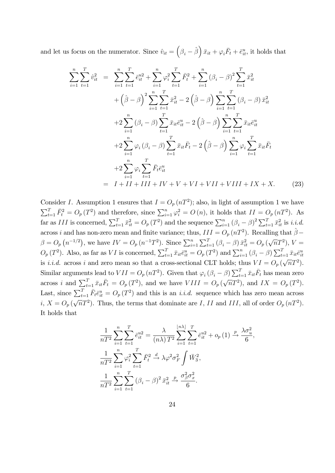and let us focus on the numerator. Since  $\hat{v}_{it} = (\beta_i - \hat{\beta}) \bar{x}_{it} + \varphi_i \bar{F}_t + \bar{e}_{it}^u$ , it holds that

$$
\sum_{i=1}^{n} \sum_{t=1}^{T} \hat{v}_{it}^{2} = \sum_{i=1}^{n} \sum_{t=1}^{T} \bar{e}_{it}^{u2} + \sum_{i=1}^{n} \varphi_{i}^{2} \sum_{t=1}^{T} \bar{F}_{t}^{2} + \sum_{i=1}^{n} (\beta_{i} - \beta)^{2} \sum_{t=1}^{T} \bar{x}_{it}^{2} \n+ (\hat{\beta} - \beta)^{2} \sum_{i=1}^{n} \sum_{t=1}^{T} \bar{x}_{it}^{2} - 2 (\hat{\beta} - \beta) \sum_{i=1}^{n} \sum_{t=1}^{T} (\beta_{i} - \beta) \bar{x}_{it}^{2} \n+ 2 \sum_{i=1}^{n} (\beta_{i} - \beta) \sum_{t=1}^{T} \bar{x}_{it} \bar{e}_{it}^{u} - 2 (\hat{\beta} - \beta) \sum_{i=1}^{n} \sum_{t=1}^{T} \bar{x}_{it} \bar{e}_{it}^{u} \n+ 2 \sum_{i=1}^{n} \varphi_{i} (\beta_{i} - \beta) \sum_{t=1}^{T} \bar{x}_{it} \bar{F}_{t} - 2 (\hat{\beta} - \beta) \sum_{i=1}^{n} \varphi_{i} \sum_{t=1}^{T} \bar{x}_{it} \bar{F}_{t} \n+ 2 \sum_{i=1}^{n} \varphi_{i} \sum_{t=1}^{T} \bar{F}_{t} \bar{e}_{it}^{u} \n= I + II + III + IV + V + VI + VII + VII + YII + IX + X.
$$
\n(23)

Consider I. Assumption 1 ensures that  $I = O_p(nT^2)$ ; also, in light of assumption 1 we have  $\sum_{t=1}^{T} \bar{F}_t^2 = O_p(T^2)$  and therefore, since  $\sum_{i=1}^{n} \varphi_i^2 = O(n)$ , it holds that  $II = O_p(nT^2)$ . As far as III is concerned,  $\sum_{t=1}^{T} \bar{x}_{it}^2 = O_p(T^2)$  and the sequence  $\sum_{i=1}^{n} (\beta_i - \beta)^2 \sum_{t=1}^{T} \bar{x}_{it}^2$  is *i.i.d.* across *i* and has non-zero mean and finite variance; thus,  $III = O_p(nT^2)$ . Recalling that  $\hat{\beta}$  $\beta = O_p(n^{-1/2})$ , we have  $IV = O_p(n^{-1}T^2)$ . Since  $\sum_{i=1}^n \sum_{t=1}^T (\beta_i - \beta) \bar{x}_{it}^2 = O_p(\sqrt{n}T^2)$ ,  $V =$  $O_p(T^2)$ . Also, as far as VI is concerned,  $\sum_{t=1}^T \bar{x}_{it} \bar{e}_{it}^u = O_p(T^2)$  and  $\sum_{i=1}^n (\beta_i - \beta) \sum_{t=1}^T \bar{x}_{it} \bar{e}_{it}^u$ is *i.i.d.* across *i* and zero mean so that a cross-sectional CLT holds; thus  $VI = O_p(\sqrt{n}T^2)$ . Similar arguments lead to  $VII = O_p(nT^2)$ . Given that  $\varphi_i (\beta_i - \beta) \sum_{t=1}^T \bar{x}_{it} \bar{F}_t$  has mean zero across *i* and  $\sum_{t=1}^{T} \bar{x}_{it} \bar{F}_t = O_p(T^2)$ , and we have  $VIII = O_p(\sqrt{n}T^2)$ , and  $IX = O_p(T^2)$ . Last, since  $\sum_{t=1}^T \bar{F}_t \bar{e}^u_{it} = O_p(T^2)$  and this is an *i.i.d.* sequence which has zero mean across i,  $X = O_p(\sqrt{n}T^2)$ . Thus, the terms that dominate are I, II and III, all of order  $O_p(nT^2)$ . It holds that

$$
\frac{1}{nT^2} \sum_{i=1}^n \sum_{t=1}^T \bar{e}_{it}^{u2} = \frac{\lambda}{(n\lambda) T^2} \sum_{i=1}^{\lfloor n\lambda \rfloor} \sum_{t=1}^T \bar{e}_{it}^{u2} + o_p(1) \xrightarrow{p} \frac{\lambda \sigma_u^2}{6},
$$
  

$$
\frac{1}{nT^2} \sum_{i=1}^n \varphi_i^2 \sum_{t=1}^T \bar{F}_t^2 \xrightarrow{d} \lambda \varphi^2 \sigma_F^2 \int \bar{W}_3^2,
$$
  

$$
\frac{1}{nT^2} \sum_{i=1}^n \sum_{t=1}^T (\beta_i - \beta)^2 \bar{x}_{it}^2 \xrightarrow{p} \frac{\sigma_\beta^2 \sigma_x^2}{6}.
$$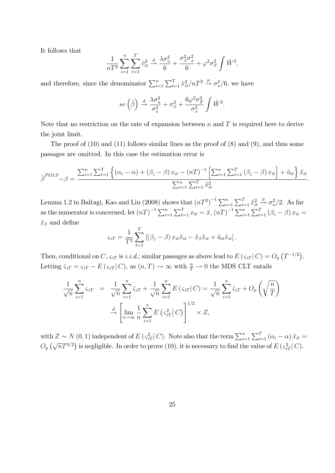It follows that

$$
\frac{1}{nT^2} \sum_{i=1}^n \sum_{t=1}^T \hat{v}_{it}^2 \xrightarrow{d} \frac{\lambda \sigma_u^2}{6} + \frac{\sigma_\beta^2 \sigma_x^2}{6} + \varphi^2 \sigma_F^2 \int \bar{W}^2,
$$

and therefore, since the denominator  $\sum_{i=1}^{n} \sum_{t=1}^{T} \bar{x}_{it}^2/nT^2 \stackrel{p}{\rightarrow} \sigma_x^2/6$ , we have

$$
se\left(\hat{\beta}\right) \stackrel{d}{\rightarrow} \frac{\lambda \sigma_u^2}{\sigma_x^2} + \sigma_\beta^2 + \frac{6\varphi^2 \sigma_F^2}{\sigma_x^2} \int \bar{W}^2.
$$

Note that no restriction on the rate of expansion between  $n$  and  $T$  is required here to derive the joint limit.

The proof of  $(10)$  and  $(11)$  follows similar lines as the proof of  $(8)$  and  $(9)$ , and thus some passages are omitted. In this case the estimation error is

$$
\hat{\beta}^{POLS} - \beta = \frac{\sum_{i=1}^{n} \sum_{t=1}^{T} \left\{ (\alpha_i - \alpha) + (\beta_i - \beta) x_{it} - (nT)^{-1} \left[ \sum_{i=1}^{n} \sum_{t=1}^{T} (\beta_i - \beta) x_{it} \right] + \tilde{u}_{it} \right\} \tilde{x}_{it}}{\sum_{i=1}^{n} \sum_{t=1}^{T} \tilde{x}_{it}^{2}}.
$$

Lemma 1.2 in Baltagi, Kao and Liu (2008) shows that  $(nT^2)^{-1} \sum_{i=1}^n \sum_{t=1}^T \tilde{x}_{it}^2$  $\stackrel{p}{\rightarrow} \sigma_x^2/2$ . As far as the numerator is concerned, let  $(nT)^{-1} \sum_{i=1}^{n} \sum_{t=1}^{T} x_{it} = \ddot{x}, (nT)^{-1} \sum_{i=1}^{n} \sum_{t=1}^{T} (\beta_i - \beta) x_{it} =$  $\ddot{x}_{\beta}$  and define

$$
\varsigma_{iT} = \frac{1}{T^2} \sum_{t=1}^T \left[ (\beta_i - \beta) x_{it} \tilde{x}_{it} - \ddot{x}_{\beta} \tilde{x}_{it} + \tilde{u}_{it} \tilde{x}_{it} \right].
$$

Then, conditional on C,  $\varsigma_{iT}$  is *i.i.d.*; similar passages as above lead to E ( $\varsigma_{iT}$  | C) =  $O_p(T^{-1/2})$ . Letting  $\bar{\varsigma}_{iT} = \varsigma_{iT} - E(\varsigma_{iT} | C)$ , as  $(n, T) \to \infty$  with  $\frac{n}{T} \to 0$  the MDS CLT entails

$$
\frac{1}{\sqrt{n}} \sum_{i=1}^{n} \varsigma_{iT} = \frac{1}{\sqrt{n}} \sum_{i=1}^{n} \overline{\varsigma}_{iT} + \frac{1}{\sqrt{n}} \sum_{i=1}^{n} E(\varsigma_{iT} | C) = \frac{1}{\sqrt{n}} \sum_{i=1}^{n} \overline{\varsigma}_{iT} + O_p\left(\sqrt{\frac{n}{T}}\right)
$$

$$
\xrightarrow{d} \left[ \lim_{n \to \infty} \frac{1}{n} \sum_{i=1}^{n} E(\varsigma_{iT}^2 | C) \right]^{1/2} \times Z,
$$

with  $Z \sim N(0, 1)$  independent of  $E\left(\varsigma_{iT}^2 | C\right)$ . Note also that the term  $\sum_{i=1}^n \sum_{t=1}^T (\alpha_i - \alpha) \tilde{x}_{it} =$  $O_p\left(\sqrt{n}T^{3/2}\right)$  is negligible. In order to prove (10), it is necessary to find the value of  $E\left(\frac{2}{\epsilon_i T}\right)C$ .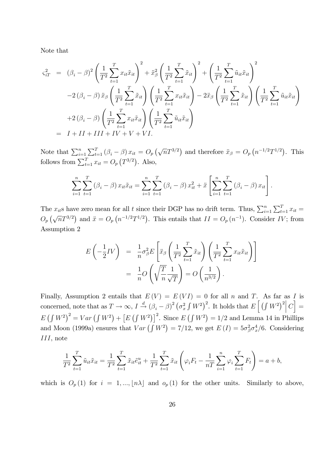Note that

$$
\varsigma_{iT}^2 = (\beta_i - \beta)^2 \left( \frac{1}{T^2} \sum_{t=1}^T x_{it} \tilde{x}_{it} \right)^2 + \tilde{x}_{\beta}^2 \left( \frac{1}{T^2} \sum_{t=1}^T \tilde{x}_{it} \right)^2 + \left( \frac{1}{T^2} \sum_{t=1}^T \tilde{u}_{it} \tilde{x}_{it} \right)^2 \n-2 (\beta_i - \beta) \tilde{x}_{\beta} \left( \frac{1}{T^2} \sum_{t=1}^T \tilde{x}_{it} \right) \left( \frac{1}{T^2} \sum_{t=1}^T x_{it} \tilde{x}_{it} \right) - 2 \tilde{x}_{\beta} \left( \frac{1}{T^2} \sum_{t=1}^T \tilde{x}_{it} \right) \left( \frac{1}{T^2} \sum_{t=1}^T \tilde{u}_{it} \tilde{x}_{it} \right) \n+2 (\beta_i - \beta) \left( \frac{1}{T^2} \sum_{t=1}^T x_{it} \tilde{x}_{it} \right) \left( \frac{1}{T^2} \sum_{t=1}^T \tilde{u}_{it} \tilde{x}_{it} \right) \n= I + II + III + IV + V + VI.
$$

Note that  $\sum_{i=1}^{n} \sum_{t=1}^{T} (\beta_i - \beta) x_{it} = O_p(\sqrt{n}T^{3/2})$  and therefore  $\ddot{x}_{\beta} = O_p(n^{-1/2}T^{1/2})$ . This follows from  $\sum_{t=1}^{T} x_{it} = O_p(T^{3/2})$ . Also,

$$
\sum_{i=1}^{n} \sum_{t=1}^{T} (\beta_i - \beta) x_{it} \tilde{x}_{it} = \sum_{i=1}^{n} \sum_{t=1}^{T} (\beta_i - \beta) x_{it}^2 + \tilde{x} \left[ \sum_{i=1}^{n} \sum_{t=1}^{T} (\beta_i - \beta) x_{it} \right].
$$

The  $x_{it}$ s have zero mean for all t since their DGP has no drift term. Thus,  $\sum_{i=1}^{n} \sum_{t=1}^{T} x_{it} =$  $O_p(\sqrt{n}T^{3/2})$  and  $\ddot{x} = O_p(n^{-1/2}T^{1/2})$ . This entails that  $II = O_p(n^{-1})$ . Consider IV; from Assumption 2

$$
E\left(-\frac{1}{2}IV\right) = \frac{1}{n}\sigma_{\beta}^{2}E\left[\ddot{x}_{\beta}\left(\frac{1}{T^{2}}\sum_{t=1}^{T}\tilde{x}_{it}\right)\left(\frac{1}{T^{2}}\sum_{t=1}^{T}x_{it}\tilde{x}_{it}\right)\right]
$$

$$
= \frac{1}{n}O\left(\sqrt{\frac{T}{n}}\frac{1}{\sqrt{T}}\right) = O\left(\frac{1}{n^{3/2}}\right).
$$

Finally, Assumption 2 entails that  $E(V) = E(VI) = 0$  for all n and T. As far as I is concerned, note that as  $T \to \infty$ ,  $I \stackrel{d}{\to} (\beta_i - \beta)^2 (\sigma_x^2 \int W^2)^2$ . It holds that  $E\left[\left(\int W^2\right)^2 |C\right] =$  $E(\int W^2)^2 = Var(\int W^2) + [E(\int W^2)]^2$ . Since  $E(\int W^2) = 1/2$  and Lemma 14 in Phillips and Moon (1999a) ensures that  $Var(\int W^2) = 7/12$ , we get  $E(I) = 5\sigma_\beta^2 \sigma_x^4/6$ . Considering III, note

$$
\frac{1}{T^2} \sum_{t=1}^T \tilde{u}_{it} \tilde{x}_{it} = \frac{1}{T^2} \sum_{t=1}^T \tilde{x}_{it} \tilde{e}_{it}^u + \frac{1}{T^2} \sum_{t=1}^T \tilde{x}_{it} \left( \varphi_i F_t - \frac{1}{nT} \sum_{i=1}^n \varphi_i \sum_{t=1}^T F_t \right) = a + b,
$$

which is  $O_p(1)$  for  $i = 1, ..., \lfloor n\lambda \rfloor$  and  $o_p(1)$  for the other units. Similarly to above,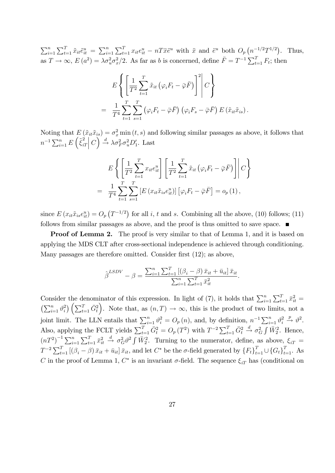$\sum_{i=1}^{n} \sum_{t=1}^{T} \tilde{x}_{it} \tilde{e}_{it}^{u} = \sum_{i=1}^{n} \sum_{t=1}^{T} x_{it} e_{it}^{u} - n T \ddot{x} \ddot{e}^{u}$  with  $\ddot{x}$  and  $\ddot{e}^{u}$  both  $O_p(n^{-1/2}T^{1/2})$ . Thus, as  $T \to \infty$ ,  $E(a^2) = \lambda \sigma_u^2 \sigma_x^2/2$ . As far as b is concerned, define  $\bar{F} = T^{-1} \sum_{t=1}^T F_t$ ; then

$$
E\left\{\left[\frac{1}{T^2}\sum_{t=1}^T \tilde{x}_{it}\left(\varphi_i F_t - \bar{\varphi}\bar{F}\right)\right]^2 \middle| C\right\}
$$
  
= 
$$
\frac{1}{T^4}\sum_{t=1}^T \sum_{s=1}^T \left(\varphi_i F_t - \bar{\varphi}\bar{F}\right)\left(\varphi_i F_s - \bar{\varphi}\bar{F}\right) E\left(\tilde{x}_{it}\tilde{x}_{is}\right).
$$

Noting that  $E(\tilde{x}_{it}\tilde{x}_{is}) = \sigma_x^2 \min(t, s)$  and following similar passages as above, it follows that  $n^{-1} \sum_{i=1}^n E\left(\tilde{\xi}_{i1}^2\right)$  $iT$  $\left(C\right) \stackrel{d}{\rightarrow} \lambda \sigma_F^2 \sigma_u^2 D_1'$ . Last

$$
E\left\{ \left[ \frac{1}{T^2} \sum_{t=1}^T x_{it} e_{it}^u \right] \left[ \frac{1}{T^2} \sum_{t=1}^T \tilde{x}_{it} \left( \varphi_i F_t - \bar{\varphi} \bar{F} \right) \right] \middle| C \right\}
$$
  
= 
$$
\frac{1}{T^4} \sum_{t=1}^T \sum_{s=1}^T \left[ E \left( x_{it} \tilde{x}_{is} e_{it}^u \right) \right] \left[ \varphi_i F_t - \bar{\varphi} \bar{F} \right] = o_p(1),
$$

since  $E(x_{it} \tilde{x}_{is} e_{it}^u) = O_p(T^{-1/2})$  for all i, t and s. Combining all the above, (10) follows; (11) follows from similar passages as above, and the proof is thus omitted to save space.

**Proof of Lemma 2.** The proof is very similar to that of Lemma 1, and it is based on applying the MDS CLT after cross-sectional independence is achieved through conditioning. Many passages are therefore omitted. Consider first  $(12)$ ; as above,

$$
\hat{\beta}^{LSDV} - \beta = \frac{\sum_{i=1}^{n} \sum_{t=1}^{T} [(\beta_i - \beta) \bar{x}_{it} + \bar{u}_{it}] \bar{x}_{it}}{\sum_{i=1}^{n} \sum_{t=1}^{T} \bar{x}_{it}^{2}}.
$$

Consider the denominator of this expression. In light of (7), it holds that  $\sum_{i=1}^{n} \sum_{t=1}^{T} \bar{x}_{it}^2 =$  $\left(\sum_{i=1}^n \vartheta_i^2\right)$  $\binom{2}{i} \left( \sum_{t=1}^T \bar{G}_t^2 \right)$ ). Note that, as  $(n, T) \rightarrow \infty$ , this is the product of two limits, not a joint limit. The LLN entails that  $\sum_{i=1}^{n} \vartheta_i^2 = O_p(n)$ , and, by definition,  $n^{-1} \sum_{i=1}^{n} \vartheta_i^2$ i  $xrightarrow{p} \vartheta^2$ . Also, applying the FCLT yields  $\sum_{t=1}^{T} \bar{G}_t^2 = O_p(T^2)$  with  $T^{-2} \sum_{t=1}^{T} \bar{G}_t^2 \stackrel{d}{\rightarrow} \sigma_G^2 \int \bar{W}_2^2$ . Hence,  $(nT^2)^{-1} \sum_{i=1}^n \sum_{t=1}^T \bar{x}_{it}^2 \stackrel{d}{\rightarrow} \sigma_G^2 \vartheta^2 \int \bar{W}_2^2$ . Turning to the numerator, define, as above,  $\xi_{iT}$  $T^{-2}\sum_{t=1}^{T}[(\beta_i-\beta)\bar{x}_{it}+\bar{u}_{it}]\bar{x}_{it}$ , and let  $C^*$  be the  $\sigma$ -field generated by  $\{F_t\}_{t=1}^{T}\cup\{G_t\}_{t=1}^{T}$ . As C in the proof of Lemma 1,  $C^*$  is an invariant  $\sigma$ -field. The sequence  $\xi_{iT}$  has (conditional on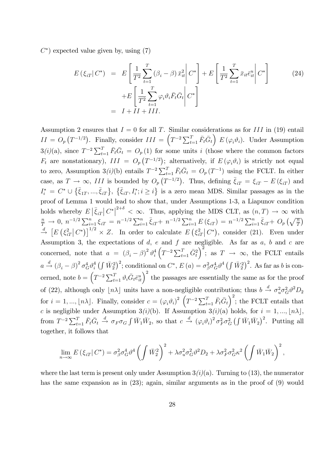$C^*$ ) expected value given by, using  $(7)$ 

$$
E\left(\xi_{iT}|C^*\right) = E\left[\frac{1}{T^2}\sum_{t=1}^T (\beta_i - \beta)\bar{x}_{it}^2 \middle| C^*\right] + E\left[\frac{1}{T^2}\sum_{t=1}^T \bar{x}_{it}\bar{e}_{it}^u \middle| C^*\right] + E\left[\frac{1}{T^2}\sum_{t=1}^T \varphi_i \vartheta_i \bar{F}_t \bar{G}_t \middle| C^*\right] = I + II + III.
$$
\n(24)

Assumption 2 ensures that  $I = 0$  for all T. Similar considerations as for III in (19) entail  $II = O_p(T^{-1/2})$ . Finally, consider  $III = \left(T^{-2} \sum_{t=1}^T \bar{F}_t \bar{G}_t\right) E(\varphi_i \vartheta_i)$ . Under Assumption  $3(i)(a)$ , since  $T^{-2}\sum_{t=1}^{T} \bar{F}_t \bar{G}_t = O_p(1)$  for some units i (those where the common factors  $F_t$  are nonstationary),  $III = O_p(T^{-1/2})$ ; alternatively, if  $E(\varphi_i \vartheta_i)$  is strictly not equal to zero, Assumption 3(*i*)(b) entails  $T^{-2} \sum_{t=1}^{T} \bar{F}_t \bar{G}_t = O_p(T^{-1})$  using the FCLT. In either case, as  $T \to \infty$ , III is bounded by  $O_p(T^{-1/2})$ . Thus, defining  $\bar{\xi}_{iT} = \xi_{iT} - E(\xi_{iT})$  and  $I_i^* = C^* \cup {\{\bar{\xi}_{1T}, ..., \bar{\xi}_{iT}\}}, \{\bar{\xi}_{iT}, I_i^*; i \geq i\}$  is a zero mean MDS. Similar passages as in the proof of Lemma 1 would lead to show that, under Assumptions 1-3, a Liapunov condition holds whereby  $E|\bar{\xi}_{iT}| C^*|^{2+\delta} < \infty$ . Thus, applying the MDS CLT, as  $(n,T) \to \infty$  with  $\frac{n}{T} \to 0$ ,  $n^{-1/2} \sum_{i=1}^{n} \xi_{iT} = n^{-1/2} \sum_{i=1}^{n} \bar{\xi}_{iT} + n^{-1/2} \sum_{i=1}^{n} E(\xi_{iT}) = n^{-1/2} \sum_{i=1}^{n} \bar{\xi}_{iT} + O_p(\sqrt{\frac{n}{T}})$  $\stackrel{d}{\rightarrow}$   $\left[ E\left( \xi_{i}\right) \right]$  $\int_{i}^{2} |C^*| \Big|^{1/2} \times Z$ . In order to calculate  $E\left(\xi_i^2\right)$  $\int_{i}^{2} C^* dx$ , consider (21). Even under Assumption 3, the expectations of  $d$ ,  $e$  and  $f$  are negligible. As far as  $a$ ,  $b$  and  $c$  are concerned, note that  $a = (\beta_i - \beta)^2 \vartheta_i^4$ i  $\left(T^{-2}\sum_{t=1}^{T}\bar{G}_{t}^{2}\right)$  $\Big)^2$ ; as  $T \to \infty$ , the FCLT entails  $a \stackrel{d}{\rightarrow} (\beta_i - \beta)^2 \sigma_G^4 \vartheta_i^4$  $K_i^4\left(\int \bar{W}_2^2\right)^2$ ; conditional on  $C^*$ ,  $E(a) = \sigma_\beta^2 \sigma_G^4 \vartheta^4 \left(\int \bar{W}_2^2\right)^2$ . As far as b is concerned, note  $b = \left(T^{-2}\sum_{t=1}^T \vartheta_i \bar{G}_t \bar{e}_{it}^u\right)^2$  the passages are essentially the same as for the proof of (22), although only  $\lfloor n\lambda \rfloor$  units have a non-negligible contribution; thus  $b \stackrel{d}{\rightarrow} \sigma_u^2 \sigma_G^2 \vartheta^2 D_2$ for  $i = 1, ..., \lfloor n\lambda \rfloor$ . Finally, consider  $c = (\varphi_i \vartheta_i)^2 (T^{-2} \sum_{t=1}^T \bar{F}_t \bar{G}_t)^2$ ; the FCLT entails that c is negligible under Assumption 3(i)(b). If Assumption 3(i)(a) holds, for  $i = 1, ..., \lfloor n\lambda \rfloor$ , from  $T^{-2}\sum_{t=1}^{T} \bar{F}_t \bar{G}_t \stackrel{d}{\to} \sigma_F \sigma_G \int \bar{W}_1 \bar{W}_2$ , so that  $c \stackrel{d}{\to} (\varphi_i \vartheta_i)^2 \sigma_F^2 \sigma_G^2 \left( \int \bar{W}_1 \bar{W}_2 \right)^2$ . Putting all together, it follows that

$$
\lim_{n\to\infty} E(\xi_{iT}|C^*) = \sigma_\beta^2 \sigma_G^4 \vartheta^4 \left( \int \bar{W}_2^2 \right)^2 + \lambda \sigma_u^2 \sigma_G^2 \vartheta^2 D_2 + \lambda \sigma_F^2 \sigma_G^2 \kappa^2 \left( \int \bar{W}_1 \bar{W}_2 \right)^2,
$$

where the last term is present only under Assumption  $3(i)(a)$ . Turning to (13), the numerator has the same expansion as in (23); again, similar arguments as in the proof of (9) would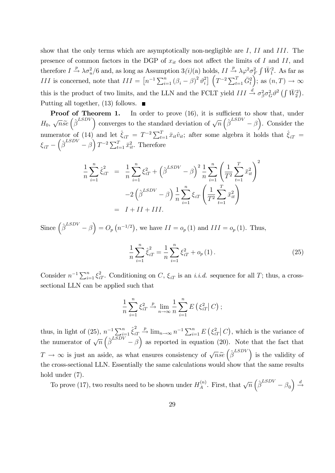show that the only terms which are asymptotically non-negligible are  $I, II$  and  $III$ . The presence of common factors in the DGP of  $x_{it}$  does not affect the limits of I and II, and therefore  $I \xrightarrow{p} \lambda \sigma_u^2/6$  and, as long as Assumption 3(*i*)(a) holds,  $II \xrightarrow{p} \lambda \varphi^2 \sigma_F^2 \int \bar{W}_1^2$ . As far as *III* is concerned, note that  $III = \left[ n^{-1} \sum_{i=1}^{n} (\beta_i - \beta)^2 \vartheta_i^2 \right]$ <sup>2</sup>
<sup>2</sup>
<sup>2</sup>
<sup>2</sup>
<sup>7</sup>
<sup>2</sup>
<sup>2</sup>
<sup>7</sup>
<sup>2</sup>
<sup>2</sup> ); as  $(n, T) \rightarrow \infty$ this is the product of two limits, and the LLN and the FCLT yield  $III \stackrel{d}{\rightarrow} \sigma_{\beta}^2 \sigma_G^2 \vartheta^2 \left( \int \bar{W}_2^2 \right)$ . Putting all together,  $(13)$  follows.

**Proof of Theorem 1.** In order to prove  $(16)$ , it is sufficient to show that, under  $H_0$ ,  $\sqrt{n}\tilde{se}(\hat{\beta}^{LSDV})$  converges to the standard deviation of  $\sqrt{n}(\hat{\beta}^{LSDV} - \beta)$ . Consider the numerator of (14) and let  $\hat{\xi}_{iT} = T^{-2} \sum_{t=1}^T \bar{x}_{it} \hat{v}_{it}$ ; after some algebra it holds that  $\hat{\xi}_{iT} =$  $\xi_{iT} - \left(\hat{\beta}^{LSDV} - \hat{\beta}\right) T^{-2} \sum_{t=1}^{T} \bar{x}_{it}^2$ . Therefore

$$
\frac{1}{n} \sum_{i=1}^{n} \hat{\xi}_{iT}^{2} = \frac{1}{n} \sum_{i=1}^{n} \xi_{iT}^{2} + (\hat{\beta}^{LSDV} - \beta)^{2} \frac{1}{n} \sum_{i=1}^{n} \left(\frac{1}{T^{2}} \sum_{t=1}^{T} \bar{x}_{it}^{2}\right)^{2}
$$

$$
-2(\hat{\beta}^{LSDV} - \beta) \frac{1}{n} \sum_{i=1}^{n} \xi_{iT} \left(\frac{1}{T^{2}} \sum_{t=1}^{T} \bar{x}_{it}^{2}\right)
$$

$$
= I + II + III.
$$

Since  $\left(\hat{\beta}^{LSDV} - \beta\right) = O_p\left(n^{-1/2}\right)$ , we have  $II = o_p(1)$  and  $III = o_p(1)$ . Thus,

$$
\frac{1}{n}\sum_{i=1}^{n}\hat{\xi}_{iT}^{2} = \frac{1}{n}\sum_{i=1}^{n}\xi_{iT}^{2} + o_{p}(1).
$$
\n(25)

Consider  $n^{-1}\sum_{i=1}^n \xi_{iT}^2$ . Conditioning on C,  $\xi_{iT}$  is an *i.i.d.* sequence for all T; thus, a crosssectional LLN can be applied such that

$$
\frac{1}{n}\sum_{i=1}^{n}\xi_{iT}^{2} \xrightarrow{n} \lim_{n\to\infty} \frac{1}{n}\sum_{i=1}^{n} E\left(\xi_{iT}^{2} | C\right);
$$

thus, in light of (25),  $n^{-1} \sum_{i=1}^{n} \hat{\xi}_{i}^2$  $iT$  $\stackrel{p}{\to} \lim_{n \to \infty} n^{-1} \sum_{i=1}^{n} E\left(\xi_i^2\right)$  $\int_{iT}^{2} |C|$ , which is the variance of the numerator of  $\sqrt{n} \left( \hat{\beta}^{LSDV} - \beta \right)$  as reported in equation (20). Note that the fact that  $T \to \infty$  is just an aside, as what ensures consistency of  $\sqrt{n}\tilde{s}e\left(\hat{\beta}^{LSDV}\right)$  is the validity of the cross-sectional LLN. Essentially the same calculations would show that the same results hold under (7).

To prove (17), two results need to be shown under  $H_A^{(n)}$ <sup>(n)</sup>. First, that  $\sqrt{n} \left( \hat{\beta}^{LSDV} - \beta_0 \right) \stackrel{d}{\rightarrow}$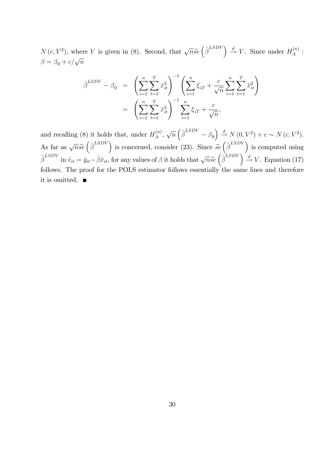$N(c, V^2)$ , where V is given in (8). Second, that  $\sqrt{n}\widetilde{se}(\hat{\beta}^{LSDV}) \stackrel{d}{\rightarrow} V$ . Since under  $H_A^{(n)}$  $\stackrel{\cdot(n)}{A}$  :  $\beta = \beta_0 + c/\sqrt{n}$ 

$$
\hat{\beta}^{LSDV} - \beta_0 = \left( \sum_{i=1}^n \sum_{t=1}^T \bar{x}_{it}^2 \right)^{-1} \left( \sum_{i=1}^n \xi_{iT} + \frac{c}{\sqrt{n}} \sum_{i=1}^n \sum_{t=1}^T \bar{x}_{it}^2 \right)
$$

$$
= \left( \sum_{i=1}^n \sum_{t=1}^T \bar{x}_{it}^2 \right)^{-1} \sum_{i=1}^n \xi_{iT} + \frac{c}{\sqrt{n}},
$$

and recalling (8) it holds that, under  $H_A^{(n)}$  $\chi_A^{(n)}$ ,  $\sqrt{n} \left( \hat{\beta}^{LSDV} - \beta_0 \right) \stackrel{d}{\rightarrow} N(0, V^2) + c \sim N(c, V^2).$ As far as  $\sqrt{n}\tilde{s}e\left(\hat{\beta}^{LSDV}\right)$  is concerned, consider (23). Since  $\tilde{s}e\left(\hat{\beta}^{LSDV}\right)$  is computed using  $\hat{\beta}^{LSDV}$  in  $\hat{v}_{it} = \bar{y}_{it} - \hat{\beta}\bar{x}_{it}$ , for any values of  $\beta$  it holds that  $\sqrt{n}\tilde{s}e \left(\hat{\beta}^{LSDV}\right) \stackrel{d}{\rightarrow} V$ . Equation (17) follows. The proof for the POLS estimator follows essentially the same lines and therefore it is omitted.  $\blacksquare$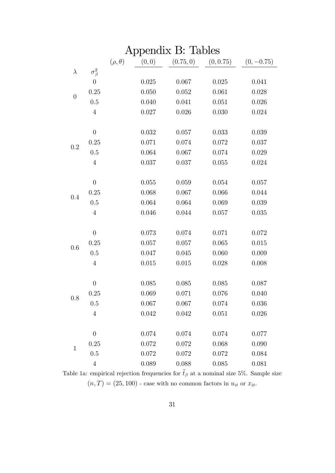| (0, 0)<br>$(\rho, \theta)$<br>(0.75, 0)<br>(0, 0.75)<br>$(0, -0.75)$<br>$\sigma_{\beta}^2$<br>$\lambda$<br>$\theta$<br>0.025<br>0.067<br>0.025<br>0.041<br>0.25<br>0.050<br>0.052<br>0.061<br>0.028<br>$\boldsymbol{0}$<br>0.5<br>0.040<br>0.041<br>0.051<br>0.026<br>0.027<br>0.026<br>0.030<br>$\overline{4}$<br>0.024<br>$\theta$<br>0.032<br>0.057<br>0.033<br>0.039<br>0.25<br>0.071<br>0.074<br>0.037<br>0.072<br>0.2<br>0.5<br>0.064<br>0.067<br>0.074<br>0.029<br>$\overline{4}$<br>0.037<br>0.037<br>0.055<br>0.024<br>$\theta$<br>0.055<br>0.059<br>0.054<br>0.057<br>0.068<br>0.25<br>0.067<br>0.066<br>0.044 | Appendix B: Tables |  |  |  |  |  |  |  |  |  |
|--------------------------------------------------------------------------------------------------------------------------------------------------------------------------------------------------------------------------------------------------------------------------------------------------------------------------------------------------------------------------------------------------------------------------------------------------------------------------------------------------------------------------------------------------------------------------------------------------------------------------|--------------------|--|--|--|--|--|--|--|--|--|
|                                                                                                                                                                                                                                                                                                                                                                                                                                                                                                                                                                                                                          |                    |  |  |  |  |  |  |  |  |  |
|                                                                                                                                                                                                                                                                                                                                                                                                                                                                                                                                                                                                                          |                    |  |  |  |  |  |  |  |  |  |
|                                                                                                                                                                                                                                                                                                                                                                                                                                                                                                                                                                                                                          |                    |  |  |  |  |  |  |  |  |  |
|                                                                                                                                                                                                                                                                                                                                                                                                                                                                                                                                                                                                                          |                    |  |  |  |  |  |  |  |  |  |
|                                                                                                                                                                                                                                                                                                                                                                                                                                                                                                                                                                                                                          |                    |  |  |  |  |  |  |  |  |  |
|                                                                                                                                                                                                                                                                                                                                                                                                                                                                                                                                                                                                                          |                    |  |  |  |  |  |  |  |  |  |
|                                                                                                                                                                                                                                                                                                                                                                                                                                                                                                                                                                                                                          |                    |  |  |  |  |  |  |  |  |  |
|                                                                                                                                                                                                                                                                                                                                                                                                                                                                                                                                                                                                                          |                    |  |  |  |  |  |  |  |  |  |
|                                                                                                                                                                                                                                                                                                                                                                                                                                                                                                                                                                                                                          |                    |  |  |  |  |  |  |  |  |  |
|                                                                                                                                                                                                                                                                                                                                                                                                                                                                                                                                                                                                                          |                    |  |  |  |  |  |  |  |  |  |
|                                                                                                                                                                                                                                                                                                                                                                                                                                                                                                                                                                                                                          |                    |  |  |  |  |  |  |  |  |  |
|                                                                                                                                                                                                                                                                                                                                                                                                                                                                                                                                                                                                                          |                    |  |  |  |  |  |  |  |  |  |
|                                                                                                                                                                                                                                                                                                                                                                                                                                                                                                                                                                                                                          |                    |  |  |  |  |  |  |  |  |  |
|                                                                                                                                                                                                                                                                                                                                                                                                                                                                                                                                                                                                                          | 0.4                |  |  |  |  |  |  |  |  |  |
| 0.5<br>0.064<br>0.064<br>0.069<br>0.039                                                                                                                                                                                                                                                                                                                                                                                                                                                                                                                                                                                  |                    |  |  |  |  |  |  |  |  |  |
| 0.046<br>0.044<br>$\overline{4}$<br>0.057<br>0.035                                                                                                                                                                                                                                                                                                                                                                                                                                                                                                                                                                       |                    |  |  |  |  |  |  |  |  |  |
|                                                                                                                                                                                                                                                                                                                                                                                                                                                                                                                                                                                                                          |                    |  |  |  |  |  |  |  |  |  |
| $\theta$<br>0.073<br>0.074<br>0.071<br>0.072                                                                                                                                                                                                                                                                                                                                                                                                                                                                                                                                                                             |                    |  |  |  |  |  |  |  |  |  |
| 0.25<br>0.057<br>0.065<br>0.015<br>0.057<br>0.6                                                                                                                                                                                                                                                                                                                                                                                                                                                                                                                                                                          |                    |  |  |  |  |  |  |  |  |  |
| 0.045<br>0.5<br>0.047<br>0.060<br>0.009                                                                                                                                                                                                                                                                                                                                                                                                                                                                                                                                                                                  |                    |  |  |  |  |  |  |  |  |  |
| 0.015<br>$\overline{4}$<br>0.015<br>0.008<br>0.028                                                                                                                                                                                                                                                                                                                                                                                                                                                                                                                                                                       |                    |  |  |  |  |  |  |  |  |  |
|                                                                                                                                                                                                                                                                                                                                                                                                                                                                                                                                                                                                                          |                    |  |  |  |  |  |  |  |  |  |
| $\theta$<br>0.085<br>0.085<br>0.085<br>0.087<br>0.069<br>0.25<br>0.071                                                                                                                                                                                                                                                                                                                                                                                                                                                                                                                                                   |                    |  |  |  |  |  |  |  |  |  |
| 0.076<br>0.040<br>0.8                                                                                                                                                                                                                                                                                                                                                                                                                                                                                                                                                                                                    |                    |  |  |  |  |  |  |  |  |  |
| 0.067<br>0.067<br>0.074<br>0.036<br>0.5                                                                                                                                                                                                                                                                                                                                                                                                                                                                                                                                                                                  |                    |  |  |  |  |  |  |  |  |  |
| $\overline{4}$<br>0.042<br>0.042<br>0.051<br>0.026                                                                                                                                                                                                                                                                                                                                                                                                                                                                                                                                                                       |                    |  |  |  |  |  |  |  |  |  |
| 0.074<br>0.074<br>0.074<br>0.077<br>$\boldsymbol{0}$                                                                                                                                                                                                                                                                                                                                                                                                                                                                                                                                                                     |                    |  |  |  |  |  |  |  |  |  |
| 0.25<br>0.072<br>0.072<br>0.068<br>0.090                                                                                                                                                                                                                                                                                                                                                                                                                                                                                                                                                                                 |                    |  |  |  |  |  |  |  |  |  |
| $\mathbf{1}$<br>0.072<br>0.072<br>0.5<br>0.072<br>0.084                                                                                                                                                                                                                                                                                                                                                                                                                                                                                                                                                                  |                    |  |  |  |  |  |  |  |  |  |
| $\overline{4}$<br>0.089<br>0.088<br>0.085<br>0.081                                                                                                                                                                                                                                                                                                                                                                                                                                                                                                                                                                       |                    |  |  |  |  |  |  |  |  |  |

Table 1a: empirical rejection frequencies for  $\tilde{t}_{\beta}$  at a nominal size 5%. Sample size  $(n, T) = (25, 100)$  - case with no common factors in  $u_{it}$  or  $x_{it}$ .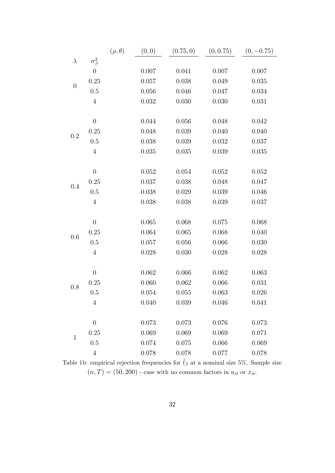|                  |                  | $(\rho, \theta)$ | (0, 0) | (0.75, 0) | (0, 0.75) | $(0, -0.75)$ |
|------------------|------------------|------------------|--------|-----------|-----------|--------------|
| $\lambda$        | $\sigma^2_\beta$ |                  |        |           |           |              |
|                  | $\boldsymbol{0}$ |                  | 0.007  | 0.041     | 0.007     | 0.007        |
|                  | 0.25             |                  | 0.057  | 0.038     | 0.049     | 0.035        |
| $\boldsymbol{0}$ | 0.5              |                  | 0.056  | 0.046     | 0.047     | 0.034        |
|                  | $\overline{4}$   |                  | 0.032  | 0.030     | 0.030     | 0.031        |
|                  |                  |                  |        |           |           |              |
|                  | $\theta$         |                  | 0.044  | 0.056     | 0.048     | 0.042        |
| 0.2              | 0.25             |                  | 0.048  | 0.039     | 0.040     | 0.040        |
|                  | 0.5              |                  | 0.038  | 0.039     | 0.032     | 0.037        |
|                  | $\overline{4}$   |                  | 0.035  | 0.035     | 0.039     | 0.035        |
|                  |                  |                  |        |           |           |              |
|                  | $\theta$         |                  | 0.052  | 0.054     | 0.052     | 0.052        |
| 0.4              | 0.25             |                  | 0.037  | 0.038     | 0.048     | 0.047        |
|                  | 0.5              |                  | 0.038  | 0.029     | 0.039     | 0.046        |
|                  | $\overline{4}$   |                  | 0.038  | 0.038     | 0.039     | 0.037        |
|                  |                  |                  |        |           |           |              |
|                  | $\theta$         |                  | 0.065  | 0.068     | 0.075     | 0.068        |
| 0.6              | 0.25             |                  | 0.064  | 0.065     | 0.068     | 0.040        |
|                  | 0.5              |                  | 0.057  | 0.056     | 0.066     | 0.030        |
|                  | $\overline{4}$   |                  | 0.028  | 0.030     | 0.028     | 0.028        |
|                  |                  |                  |        |           |           |              |
|                  | $\theta$         |                  | 0.062  | 0.066     | 0.062     | 0.063        |
| 0.8              | 0.25             |                  | 0.060  | 0.062     | 0.066     | 0.031        |
|                  | $0.5\,$          |                  | 0.054  | 0.055     | 0.063     | 0.026        |
|                  | $\overline{4}$   |                  | 0.040  | 0.039     | 0.046     | 0.041        |
|                  | $\theta$         |                  |        |           |           | 0.073        |
|                  |                  |                  | 0.073  | 0.073     | 0.076     |              |
| $\mathbf{1}$     | 0.25             |                  | 0.069  | 0.069     | 0.069     | 0.071        |
|                  | 0.5              |                  | 0.074  | 0.075     | 0.066     | 0.069        |
|                  | $\overline{4}$   |                  | 0.078  | 0.078     | 0.077     | 0.078        |

Table 1b: empirical rejection frequencies for  $\tilde{t}_{\beta}$  at a nominal size 5%. Sample size  $(n, T) = (50, 200)$  - case with no common factors in  $u_{it}$  or  $x_{it}$ .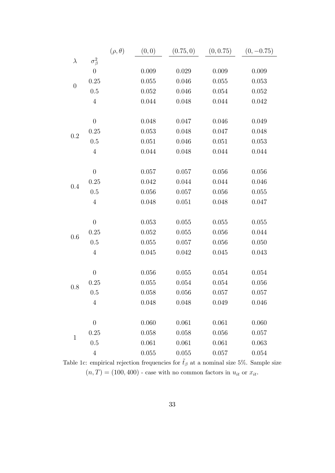|                  |                  | $(\rho, \theta)$ | (0, 0)    | (0.75, 0) | (0, 0.75) | $(0, -0.75)$ |
|------------------|------------------|------------------|-----------|-----------|-----------|--------------|
| $\lambda$        | $\sigma^2_\beta$ |                  |           |           |           |              |
|                  | $\boldsymbol{0}$ |                  | 0.009     | 0.029     | 0.009     | 0.009        |
|                  | 0.25             |                  | 0.055     | 0.046     | 0.055     | 0.053        |
| $\boldsymbol{0}$ | 0.5              |                  | 0.052     | 0.046     | 0.054     | 0.052        |
|                  | $\overline{4}$   |                  | 0.044     | 0.048     | 0.044     | 0.042        |
|                  |                  |                  |           |           |           |              |
|                  | $\theta$         |                  | 0.048     | 0.047     | 0.046     | 0.049        |
| 0.2              | 0.25             |                  | 0.053     | 0.048     | 0.047     | 0.048        |
|                  | 0.5              |                  | 0.051     | 0.046     | 0.051     | 0.053        |
|                  | $\overline{4}$   |                  | 0.044     | 0.048     | 0.044     | 0.044        |
|                  |                  |                  |           |           |           |              |
|                  | $\theta$         |                  | 0.057     | 0.057     | 0.056     | 0.056        |
| 0.4              | 0.25             |                  | 0.042     | 0.044     | 0.044     | 0.046        |
|                  | 0.5              |                  | 0.056     | 0.057     | 0.056     | 0.055        |
|                  | $\overline{4}$   |                  | 0.048     | 0.051     | 0.048     | 0.047        |
|                  |                  |                  |           |           |           |              |
|                  | $\theta$         |                  | 0.053     | 0.055     | 0.055     | 0.055        |
| 0.6              | 0.25             |                  | 0.052     | 0.055     | 0.056     | 0.044        |
|                  | 0.5              |                  | 0.055     | 0.057     | 0.056     | 0.050        |
|                  | $\overline{4}$   |                  | 0.045     | 0.042     | 0.045     | 0.043        |
|                  | $\theta$         |                  | $0.056\,$ | 0.055     | 0.054     | 0.054        |
|                  | 0.25             |                  | 0.055     | 0.054     | 0.054     | 0.056        |
| 0.8              | $0.5\,$          |                  | 0.058     | 0.056     | 0.057     | 0.057        |
|                  | $\overline{4}$   |                  | 0.048     | 0.048     | 0.049     | 0.046        |
|                  |                  |                  |           |           |           |              |
|                  | $\theta$         |                  | 0.060     | 0.061     | 0.061     | 0.060        |
|                  | 0.25             |                  | 0.058     | 0.058     | 0.056     | 0.057        |
| $\mathbf{1}$     | 0.5              |                  | 0.061     | 0.061     | 0.061     | 0.063        |
|                  | $\overline{4}$   |                  | 0.055     | 0.055     | 0.057     | 0.054        |

Table 1c: empirical rejection frequencies for  $\tilde{t}_{\beta}$  at a nominal size 5%. Sample size  $(n, T) = (100, 400)$  - case with no common factors in  $u_{it}$  or  $x_{it}$ .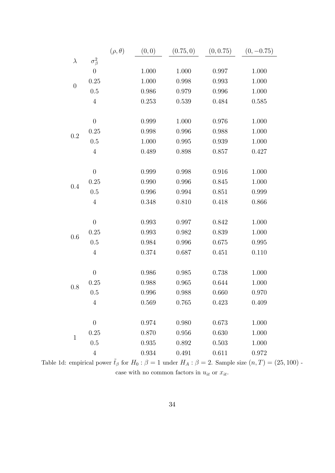|                  |                  | $(\rho, \theta)$ | (0, 0)    | (0.75, 0) | (0, 0.75) | $(0, -0.75)$ |
|------------------|------------------|------------------|-----------|-----------|-----------|--------------|
| $\lambda$        | $\sigma^2_\beta$ |                  |           |           |           |              |
|                  | $\boldsymbol{0}$ |                  | 1.000     | 1.000     | 0.997     | 1.000        |
|                  | 0.25             |                  | 1.000     | 0.998     | 0.993     | 1.000        |
| $\boldsymbol{0}$ | 0.5              |                  | 0.986     | 0.979     | 0.996     | 1.000        |
|                  | $\overline{4}$   |                  | 0.253     | 0.539     | 0.484     | 0.585        |
|                  |                  |                  |           |           |           |              |
|                  | $\boldsymbol{0}$ |                  | 0.999     | 1.000     | 0.976     | 1.000        |
| 0.2              | 0.25             |                  | 0.998     | 0.996     | 0.988     | 1.000        |
|                  | 0.5              |                  | 1.000     | 0.995     | 0.939     | 1.000        |
|                  | $\overline{4}$   |                  | 0.489     | 0.898     | 0.857     | 0.427        |
|                  |                  |                  |           |           |           |              |
|                  | $\boldsymbol{0}$ |                  | 0.999     | 0.998     | 0.916     | 1.000        |
| 0.4              | 0.25             |                  | 0.990     | 0.996     | 0.845     | 1.000        |
|                  | 0.5              |                  | 0.996     | 0.994     | 0.851     | 0.999        |
|                  | $\overline{4}$   |                  | 0.348     | 0.810     | 0.418     | 0.866        |
|                  |                  |                  |           |           |           |              |
|                  | $\theta$         |                  | 0.993     | 0.997     | 0.842     | 1.000        |
| 0.6              | 0.25             |                  | 0.993     | 0.982     | 0.839     | 1.000        |
|                  | 0.5              |                  | 0.984     | 0.996     | 0.675     | 0.995        |
|                  | $\overline{4}$   |                  | 0.374     | 0.687     | 0.451     | 0.110        |
|                  |                  |                  |           |           |           |              |
|                  | $\boldsymbol{0}$ |                  | 0.986     | 0.985     | 0.738     | 1.000        |
| 0.8              | 0.25             |                  | 0.988     | 0.965     | 0.644     | 1.000        |
|                  | 0.5              |                  | 0.996     | 0.988     | 0.660     | 0.970        |
|                  | $\overline{4}$   |                  | 0.569     | 0.765     | 0.423     | 0.409        |
|                  |                  |                  |           |           |           |              |
|                  | $\theta$         |                  | 0.974     | 0.980     | 0.673     | 1.000        |
| $\mathbf{1}$     | 0.25             |                  | 0.870     | 0.956     | 0.630     | 1.000        |
|                  | 0.5              |                  | $\!0.935$ | 0.892     | 0.503     | 1.000        |
|                  | $\overline{4}$   |                  | 0.934     | 0.491     | 0.611     | 0.972        |

Table 1d: empirical power  $\tilde{t}_{\beta}$  for  $H_0$ :  $\beta = 1$  under  $H_A$ :  $\beta = 2$ . Sample size  $(n, T) = (25, 100)$  case with no common factors in  $\boldsymbol{u}_{it}$  or  $\boldsymbol{x}_{it}.$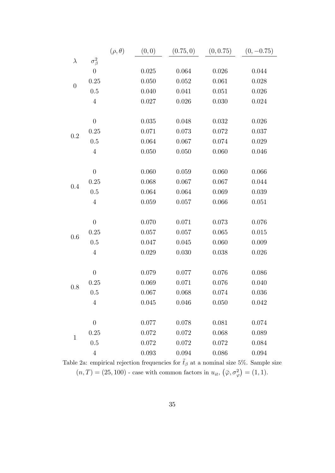|                  |                  | $(\rho, \theta)$ | (0, 0) | (0.75, 0) | (0, 0.75) | $(0, -0.75)$ |
|------------------|------------------|------------------|--------|-----------|-----------|--------------|
| $\lambda$        | $\sigma^2_\beta$ |                  |        |           |           |              |
|                  | $\boldsymbol{0}$ |                  | 0.025  | 0.064     | 0.026     | 0.044        |
|                  | 0.25             |                  | 0.050  | 0.052     | 0.061     | 0.028        |
| $\boldsymbol{0}$ | 0.5              |                  | 0.040  | 0.041     | 0.051     | 0.026        |
|                  | $\overline{4}$   |                  | 0.027  | 0.026     | 0.030     | 0.024        |
|                  |                  |                  |        |           |           |              |
|                  | $\boldsymbol{0}$ |                  | 0.035  | 0.048     | 0.032     | 0.026        |
| 0.2              | 0.25             |                  | 0.071  | 0.073     | 0.072     | 0.037        |
|                  | 0.5              |                  | 0.064  | 0.067     | 0.074     | 0.029        |
|                  | $\overline{4}$   |                  | 0.050  | 0.050     | 0.060     | 0.046        |
|                  |                  |                  |        |           |           |              |
|                  | $\theta$         |                  | 0.060  | 0.059     | 0.060     | 0.066        |
| 0.4              | 0.25             |                  | 0.068  | 0.067     | 0.067     | 0.044        |
|                  | $0.5\,$          |                  | 0.064  | 0.064     | 0.069     | 0.039        |
|                  | $\overline{4}$   |                  | 0.059  | 0.057     | 0.066     | 0.051        |
|                  |                  |                  |        |           |           |              |
|                  | $\boldsymbol{0}$ |                  | 0.070  | 0.071     | 0.073     | 0.076        |
| 0.6              | 0.25             |                  | 0.057  | 0.057     | 0.065     | 0.015        |
|                  | 0.5              |                  | 0.047  | 0.045     | 0.060     | 0.009        |
|                  | $\overline{4}$   |                  | 0.029  | 0.030     | 0.038     | 0.026        |
|                  |                  |                  |        |           |           |              |
|                  | $\boldsymbol{0}$ |                  | 0.079  | 0.077     | 0.076     | 0.086        |
| 0.8              | 0.25             |                  | 0.069  | 0.071     | 0.076     | 0.040        |
|                  | $0.5\,$          |                  | 0.067  | 0.068     | 0.074     | 0.036        |
|                  | $\overline{4}$   |                  | 0.045  | 0.046     | 0.050     | 0.042        |
|                  |                  |                  |        |           |           |              |
|                  | $\overline{0}$   |                  | 0.077  | 0.078     | 0.081     | 0.074        |
| $\mathbf{1}$     | 0.25             |                  | 0.072  | 0.072     | 0.068     | 0.089        |
|                  | 0.5              |                  | 0.072  | 0.072     | 0.072     | 0.084        |
|                  | $\overline{4}$   |                  | 0.093  | 0.094     | 0.086     | 0.094        |

Table 2a: empirical rejection frequencies for  $\tilde{t}_{\beta}$  at a nominal size 5%. Sample size  $(n,T) = (25, 100)$  - case with common factors in  $u_{it}, (\bar{\varphi}, \sigma_{\varphi}^2) = (1, 1).$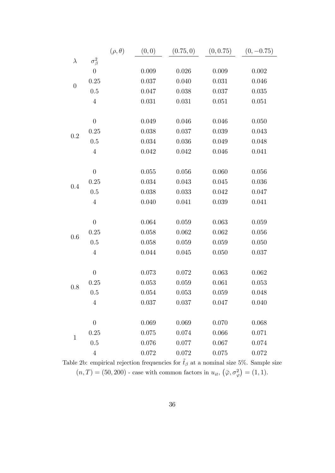|                  |                  | $(\rho, \theta)$ | (0, 0) | (0.75, 0) | (0, 0.75) | $(0, -0.75)$ |
|------------------|------------------|------------------|--------|-----------|-----------|--------------|
| $\lambda$        | $\sigma^2_\beta$ |                  |        |           |           |              |
|                  | $\boldsymbol{0}$ |                  | 0.009  | 0.026     | 0.009     | 0.002        |
| $\boldsymbol{0}$ | 0.25             |                  | 0.037  | 0.040     | 0.031     | 0.046        |
|                  | 0.5              |                  | 0.047  | 0.038     | 0.037     | 0.035        |
|                  | $\overline{4}$   |                  | 0.031  | 0.031     | 0.051     | 0.051        |
|                  |                  |                  |        |           |           |              |
|                  | $\theta$         |                  | 0.049  | 0.046     | 0.046     | 0.050        |
| 0.2              | 0.25             |                  | 0.038  | 0.037     | 0.039     | 0.043        |
|                  | 0.5              |                  | 0.034  | 0.036     | 0.049     | 0.048        |
|                  | $\overline{4}$   |                  | 0.042  | 0.042     | 0.046     | 0.041        |
|                  |                  |                  |        |           |           |              |
|                  | $\theta$         |                  | 0.055  | 0.056     | 0.060     | 0.056        |
| 0.4              | 0.25             |                  | 0.034  | 0.043     | 0.045     | 0.036        |
|                  | 0.5              |                  | 0.038  | 0.033     | 0.042     | 0.047        |
|                  | $\overline{4}$   |                  | 0.040  | 0.041     | 0.039     | 0.041        |
|                  |                  |                  |        |           |           |              |
|                  | $\theta$         |                  | 0.064  | 0.059     | 0.063     | 0.059        |
| 0.6              | 0.25             |                  | 0.058  | 0.062     | 0.062     | 0.056        |
|                  | 0.5              |                  | 0.058  | 0.059     | 0.059     | 0.050        |
|                  | $\overline{4}$   |                  | 0.044  | 0.045     | 0.050     | 0.037        |
|                  |                  |                  |        |           |           |              |
|                  | $\theta$         |                  | 0.073  | 0.072     | 0.063     | 0.062        |
| 0.8              | 0.25             |                  | 0.053  | 0.059     | 0.061     | 0.053        |
|                  | $0.5\,$          |                  | 0.054  | 0.053     | 0.059     | 0.048        |
|                  | $\overline{4}$   |                  | 0.037  | 0.037     | 0.047     | 0.040        |
|                  |                  |                  |        |           |           |              |
|                  | $\theta$         |                  | 0.069  | 0.069     | 0.070     | 0.068        |
| $\mathbf{1}$     | 0.25             |                  | 0.075  | 0.074     | 0.066     | 0.071        |
|                  | 0.5              |                  | 0.076  | 0.077     | 0.067     | 0.074        |
|                  | $\overline{4}$   |                  | 0.072  | 0.072     | 0.075     | 0.072        |

Table 2b: empirical rejection frequencies for  $\tilde{t}_{\beta}$  at a nominal size 5%. Sample size  $(n,T) = (50, 200)$  - case with common factors in  $u_{it}, (\bar{\varphi}, \sigma_{\varphi}^2) = (1, 1).$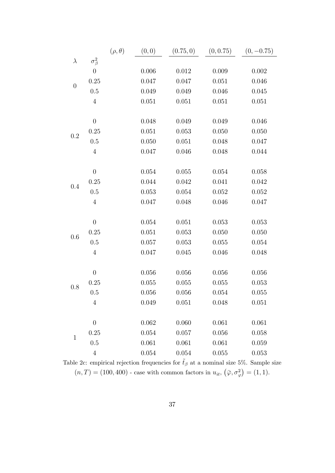|                  |                    | $(\rho, \theta)$ | (0, 0) | (0.75, 0)   | (0, 0.75) | $(0, -0.75)$ |
|------------------|--------------------|------------------|--------|-------------|-----------|--------------|
| $\lambda$        | $\sigma_{\beta}^2$ |                  |        |             |           |              |
|                  | $\overline{0}$     |                  | 0.006  | 0.012       | 0.009     | 0.002        |
|                  | 0.25               |                  | 0.047  | 0.047       | 0.051     | 0.046        |
| $\boldsymbol{0}$ | $0.5\,$            |                  | 0.049  | 0.049       | 0.046     | 0.045        |
|                  | $\overline{4}$     |                  | 0.051  | 0.051       | 0.051     | 0.051        |
|                  |                    |                  |        |             |           |              |
|                  | $\boldsymbol{0}$   |                  | 0.048  | 0.049       | 0.049     | 0.046        |
| 0.2              | 0.25               |                  | 0.051  | 0.053       | 0.050     | 0.050        |
|                  | 0.5                |                  | 0.050  | 0.051       | 0.048     | 0.047        |
|                  | $\overline{4}$     |                  | 0.047  | 0.046       | 0.048     | 0.044        |
|                  |                    |                  |        |             |           |              |
|                  | $\theta$           |                  | 0.054  | 0.055       | 0.054     | 0.058        |
| 0.4              | 0.25               |                  | 0.044  | 0.042       | 0.041     | 0.042        |
|                  | 0.5                |                  | 0.053  | 0.054       | 0.052     | 0.052        |
|                  | $\overline{4}$     |                  | 0.047  | 0.048       | 0.046     | 0.047        |
|                  |                    |                  |        |             |           |              |
|                  | $\boldsymbol{0}$   |                  | 0.054  | 0.051       | 0.053     | 0.053        |
| 0.6              | 0.25               |                  | 0.051  | 0.053       | 0.050     | 0.050        |
|                  | 0.5                |                  | 0.057  | 0.053       | 0.055     | 0.054        |
|                  | $\sqrt{4}$         |                  | 0.047  | 0.045       | 0.046     | 0.048        |
|                  |                    |                  |        |             |           |              |
|                  | $\boldsymbol{0}$   |                  | 0.056  | 0.056       | 0.056     | 0.056        |
| 0.8              | 0.25               |                  | 0.055  | 0.055       | 0.055     | 0.053        |
|                  | $0.5\,$            |                  | 0.056  | 0.056       | 0.054     | 0.055        |
|                  | $\overline{4}$     |                  | 0.049  | 0.051       | 0.048     | 0.051        |
|                  |                    |                  |        |             |           |              |
|                  | $\overline{0}$     |                  | 0.062  | 0.060       | 0.061     | 0.061        |
| $\mathbf{1}$     | 0.25               |                  | 0.054  | 0.057       | 0.056     | 0.058        |
|                  | 0.5                |                  | 0.061  | 0.061       | 0.061     | 0.059        |
|                  | $\overline{4}$     |                  | 0.054  | $\,0.054\,$ | 0.055     | 0.053        |

Table 2c: empirical rejection frequencies for  $\tilde{t}_{\beta}$  at a nominal size 5%. Sample size  $(n, T) = (100, 400)$  - case with common factors in  $u_{it}, (\bar{\varphi}, \sigma_{\varphi}^2) = (1, 1)$ .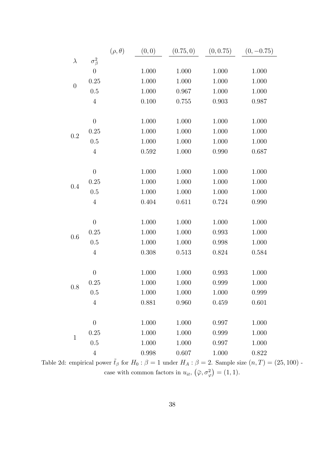|                  |                  | $(\rho, \theta)$ | (0, 0) | (0.75, 0) | (0, 0.75) | $(0, -0.75)$ |
|------------------|------------------|------------------|--------|-----------|-----------|--------------|
| $\lambda$        | $\sigma^2_\beta$ |                  |        |           |           |              |
|                  | $\overline{0}$   |                  | 1.000  | 1.000     | 1.000     | 1.000        |
| $\boldsymbol{0}$ | 0.25             |                  | 1.000  | 1.000     | 1.000     | 1.000        |
|                  | 0.5              |                  | 1.000  | 0.967     | 1.000     | 1.000        |
|                  | $\overline{4}$   |                  | 0.100  | 0.755     | 0.903     | 0.987        |
|                  |                  |                  |        |           |           |              |
|                  | $\boldsymbol{0}$ |                  | 1.000  | 1.000     | 1.000     | 1.000        |
| 0.2              | 0.25             |                  | 1.000  | 1.000     | 1.000     | 1.000        |
|                  | 0.5              |                  | 1.000  | 1.000     | 1.000     | 1.000        |
|                  | $\overline{4}$   |                  | 0.592  | 1.000     | 0.990     | 0.687        |
|                  |                  |                  |        |           |           |              |
|                  | $\boldsymbol{0}$ |                  | 1.000  | 1.000     | 1.000     | 1.000        |
| 0.4              | 0.25             |                  | 1.000  | 1.000     | 1.000     | 1.000        |
|                  | 0.5              |                  | 1.000  | 1.000     | 1.000     | 1.000        |
|                  | $\overline{4}$   |                  | 0.404  | 0.611     | 0.724     | 0.990        |
|                  |                  |                  |        |           |           |              |
|                  | $\boldsymbol{0}$ |                  | 1.000  | 1.000     | 1.000     | 1.000        |
| 0.6              | 0.25             |                  | 1.000  | 1.000     | 0.993     | 1.000        |
|                  | 0.5              |                  | 1.000  | 1.000     | 0.998     | 1.000        |
|                  | $\overline{4}$   |                  | 0.308  | 0.513     | 0.824     | 0.584        |
|                  |                  |                  |        |           |           |              |
|                  | $\boldsymbol{0}$ |                  | 1.000  | 1.000     | 0.993     | 1.000        |
| 0.8              | 0.25             |                  | 1.000  | 1.000     | 0.999     | 1.000        |
|                  | 0.5              |                  | 1.000  | 1.000     | 1.000     | 0.999        |
|                  | $\sqrt{4}$       |                  | 0.881  | 0.960     | 0.459     | 0.601        |
|                  |                  |                  |        |           |           |              |
|                  | $\overline{0}$   |                  | 1.000  | 1.000     | 0.997     | 1.000        |
| $\mathbf 1$      | 0.25             |                  | 1.000  | 1.000     | 0.999     | 1.000        |
|                  | 0.5              |                  | 1.000  | 1.000     | 0.997     | 1.000        |
|                  | $\overline{4}$   |                  | 0.998  | 0.607     | 1.000     | 0.822        |

Table 2d: empirical power  $\tilde{t}_{\beta}$  for  $H_0$ :  $\beta = 1$  under  $H_A$ :  $\beta = 2$ . Sample size  $(n, T) = (25, 100)$ . case with common factors in  $u_{it}$ ,  $(\bar{\varphi}, \sigma_{\varphi}^2) = (1, 1)$ .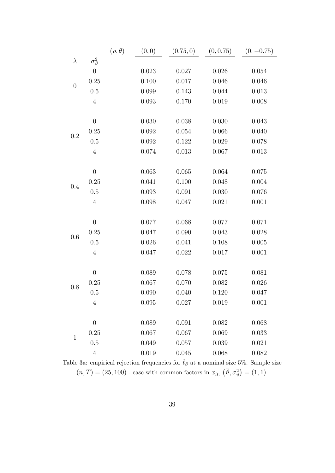|                  |                  | $(\rho, \theta)$ | (0, 0) | (0.75, 0)   | (0, 0.75) | $(0, -0.75)$ |
|------------------|------------------|------------------|--------|-------------|-----------|--------------|
| $\lambda$        | $\sigma^2_\beta$ |                  |        |             |           |              |
|                  | $\boldsymbol{0}$ |                  | 0.023  | 0.027       | 0.026     | 0.054        |
| $\boldsymbol{0}$ | 0.25             |                  | 0.100  | 0.017       | 0.046     | 0.046        |
|                  | 0.5              |                  | 0.099  | 0.143       | 0.044     | 0.013        |
|                  | $\sqrt{4}$       |                  | 0.093  | 0.170       | 0.019     | 0.008        |
|                  |                  |                  |        |             |           |              |
|                  | $\boldsymbol{0}$ |                  | 0.030  | 0.038       | 0.030     | 0.043        |
| 0.2              | 0.25             |                  | 0.092  | 0.054       | 0.066     | 0.040        |
|                  | 0.5              |                  | 0.092  | 0.122       | 0.029     | 0.078        |
|                  | $\sqrt{4}$       |                  | 0.074  | 0.013       | 0.067     | 0.013        |
|                  |                  |                  |        |             |           |              |
|                  | $\theta$         |                  | 0.063  | 0.065       | 0.064     | 0.075        |
| 0.4              | 0.25             |                  | 0.041  | 0.100       | 0.048     | 0.004        |
|                  | 0.5              |                  | 0.093  | 0.091       | 0.030     | 0.076        |
|                  | $\overline{4}$   |                  | 0.098  | 0.047       | 0.021     | 0.001        |
|                  |                  |                  |        |             |           |              |
|                  | $\boldsymbol{0}$ |                  | 0.077  | 0.068       | 0.077     | 0.071        |
| 0.6              | 0.25             |                  | 0.047  | 0.090       | 0.043     | 0.028        |
|                  | 0.5              |                  | 0.026  | $\,0.041\,$ | 0.108     | 0.005        |
|                  | $\sqrt{4}$       |                  | 0.047  | 0.022       | 0.017     | 0.001        |
|                  |                  |                  |        |             |           |              |
|                  | $\boldsymbol{0}$ |                  | 0.089  | 0.078       | 0.075     | 0.081        |
| 0.8              | 0.25             |                  | 0.067  | 0.070       | 0.082     | 0.026        |
|                  | 0.5              |                  | 0.090  | 0.040       | 0.120     | 0.047        |
|                  | $\overline{4}$   |                  | 0.095  | 0.027       | 0.019     | 0.001        |
|                  |                  |                  |        |             |           |              |
|                  | $\theta$         |                  | 0.089  | 0.091       | 0.082     | 0.068        |
| $\mathbf 1$      | 0.25             |                  | 0.067  | 0.067       | 0.069     | 0.033        |
|                  | 0.5              |                  | 0.049  | 0.057       | 0.039     | 0.021        |
|                  | $\overline{4}$   |                  | 0.019  | 0.045       | 0.068     | 0.082        |

Table 3a: empirical rejection frequencies for  $\tilde{t}_{\beta}$  at a nominal size 5%. Sample size  $(n,T) = (25, 100)$  - case with common factors in  $x_{it}$ ,  $(\bar{\vartheta}, \sigma_{\vartheta}^2) = (1, 1)$ .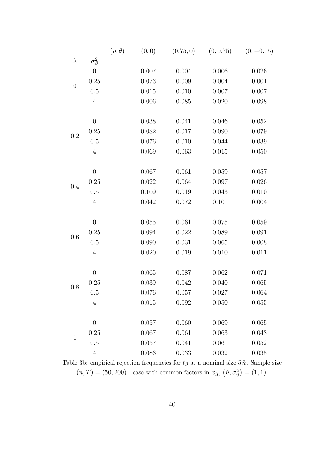|                  |                  | $(\rho, \theta)$ | (0, 0) | (0.75, 0)   | (0, 0.75) | $(0, -0.75)$ |
|------------------|------------------|------------------|--------|-------------|-----------|--------------|
| $\lambda$        | $\sigma^2_\beta$ |                  |        |             |           |              |
|                  | $\boldsymbol{0}$ |                  | 0.007  | 0.004       | 0.006     | 0.026        |
| $\boldsymbol{0}$ | 0.25             |                  | 0.073  | 0.009       | 0.004     | 0.001        |
|                  | 0.5              |                  | 0.015  | 0.010       | 0.007     | 0.007        |
|                  | $\overline{4}$   |                  | 0.006  | 0.085       | 0.020     | 0.098        |
|                  |                  |                  |        |             |           |              |
|                  | $\theta$         |                  | 0.038  | 0.041       | 0.046     | 0.052        |
| 0.2              | 0.25             |                  | 0.082  | 0.017       | 0.090     | 0.079        |
|                  | 0.5              |                  | 0.076  | 0.010       | 0.044     | 0.039        |
|                  | $\sqrt{4}$       |                  | 0.069  | 0.063       | 0.015     | 0.050        |
|                  |                  |                  |        |             |           |              |
|                  | $\theta$         |                  | 0.067  | 0.061       | 0.059     | 0.057        |
| 0.4              | 0.25             |                  | 0.022  | 0.064       | 0.097     | 0.026        |
|                  | 0.5              |                  | 0.109  | 0.019       | 0.043     | 0.010        |
|                  | $\overline{4}$   |                  | 0.042  | 0.072       | 0.101     | 0.004        |
|                  |                  |                  |        |             |           |              |
|                  | $\theta$         |                  | 0.055  | 0.061       | 0.075     | 0.059        |
| 0.6              | 0.25             |                  | 0.094  | 0.022       | 0.089     | 0.091        |
|                  | 0.5              |                  | 0.090  | 0.031       | 0.065     | 0.008        |
|                  | $\overline{4}$   |                  | 0.020  | 0.019       | 0.010     | 0.011        |
|                  |                  |                  |        |             |           |              |
|                  | $\theta$         |                  | 0.065  | 0.087       | 0.062     | 0.071        |
| 0.8              | 0.25             |                  | 0.039  | 0.042       | 0.040     | 0.065        |
|                  | $0.5\,$          |                  | 0.076  | 0.057       | 0.027     | 0.064        |
|                  | $\overline{4}$   |                  | 0.015  | $\,0.092\,$ | 0.050     | 0.055        |
|                  |                  |                  |        |             |           |              |
|                  | $\theta$         |                  | 0.057  | 0.060       | 0.069     | 0.065        |
| $\mathbf{1}$     | 0.25             |                  | 0.067  | 0.061       | 0.063     | 0.043        |
|                  | 0.5              |                  | 0.057  | 0.041       | 0.061     | 0.052        |
|                  | $\overline{4}$   |                  | 0.086  | 0.033       | 0.032     | 0.035        |

Table 3b: empirical rejection frequencies for  $\tilde{t}_{\beta}$  at a nominal size 5%. Sample size  $(n,T) = (50, 200)$  - case with common factors in  $x_{it}$ ,  $(\bar{\vartheta}, \sigma_{\vartheta}^2) = (1, 1)$ .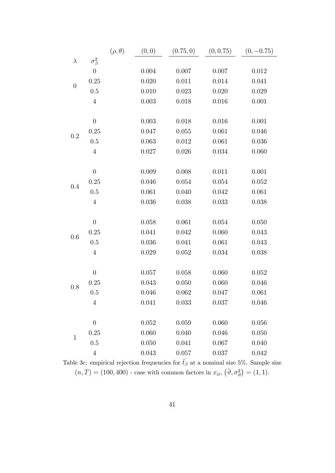|                  |                  | $(\rho, \theta)$ | (0, 0) | (0.75, 0) | (0, 0.75) | $(0, -0.75)$ |
|------------------|------------------|------------------|--------|-----------|-----------|--------------|
| $\lambda$        | $\sigma^2_\beta$ |                  |        |           |           |              |
|                  | $\boldsymbol{0}$ |                  | 0.004  | 0.007     | 0.007     | 0.012        |
| $\boldsymbol{0}$ | 0.25             |                  | 0.020  | 0.011     | 0.014     | 0.041        |
|                  | 0.5              |                  | 0.010  | 0.023     | 0.020     | 0.029        |
|                  | $\overline{4}$   |                  | 0.003  | 0.018     | 0.016     | 0.001        |
|                  |                  |                  |        |           |           |              |
|                  | $\boldsymbol{0}$ |                  | 0.003  | 0.018     | 0.016     | 0.001        |
| 0.2              | 0.25             |                  | 0.047  | 0.055     | 0.061     | 0.046        |
|                  | 0.5              |                  | 0.063  | 0.012     | 0.061     | 0.036        |
|                  | $\overline{4}$   |                  | 0.027  | 0.026     | 0.034     | 0.060        |
|                  |                  |                  |        |           |           |              |
|                  | $\theta$         |                  | 0.009  | 0.008     | 0.011     | 0.001        |
| 0.4              | 0.25             |                  | 0.046  | 0.054     | 0.054     | 0.052        |
|                  | $0.5\,$          |                  | 0.061  | 0.040     | 0.042     | 0.061        |
|                  | $\overline{4}$   |                  | 0.036  | 0.038     | 0.033     | 0.038        |
|                  |                  |                  |        |           |           |              |
|                  | $\boldsymbol{0}$ |                  | 0.058  | 0.061     | 0.054     | 0.050        |
| 0.6              | 0.25             |                  | 0.041  | 0.042     | 0.060     | 0.043        |
|                  | 0.5              |                  | 0.036  | 0.041     | 0.061     | 0.043        |
|                  | $\overline{4}$   |                  | 0.029  | 0.052     | 0.034     | 0.038        |
|                  |                  |                  |        |           |           |              |
|                  | $\theta$         |                  | 0.057  | 0.058     | 0.060     | 0.052        |
| 0.8              | 0.25             |                  | 0.043  | 0.050     | 0.060     | 0.046        |
|                  | $0.5\,$          |                  | 0.046  | 0.062     | 0.047     | 0.061        |
|                  | $\overline{4}$   |                  | 0.041  | 0.033     | 0.037     | 0.046        |
|                  |                  |                  |        |           |           |              |
|                  | $\overline{0}$   |                  | 0.052  | 0.059     | 0.060     | 0.056        |
| $\mathbf{1}$     | 0.25             |                  | 0.060  | 0.040     | 0.046     | 0.050        |
|                  | 0.5              |                  | 0.050  | 0.041     | 0.067     | 0.040        |
|                  | $\overline{4}$   |                  | 0.043  | 0.057     | 0.037     | 0.042        |

Table 3c: empirical rejection frequencies for  $\tilde{t}_{\beta}$  at a nominal size 5%. Sample size  $(n, T) = (100, 400)$  - case with common factors in  $x_{it}$ ,  $(\bar{\vartheta}, \sigma_{\vartheta}^2) = (1, 1)$ .